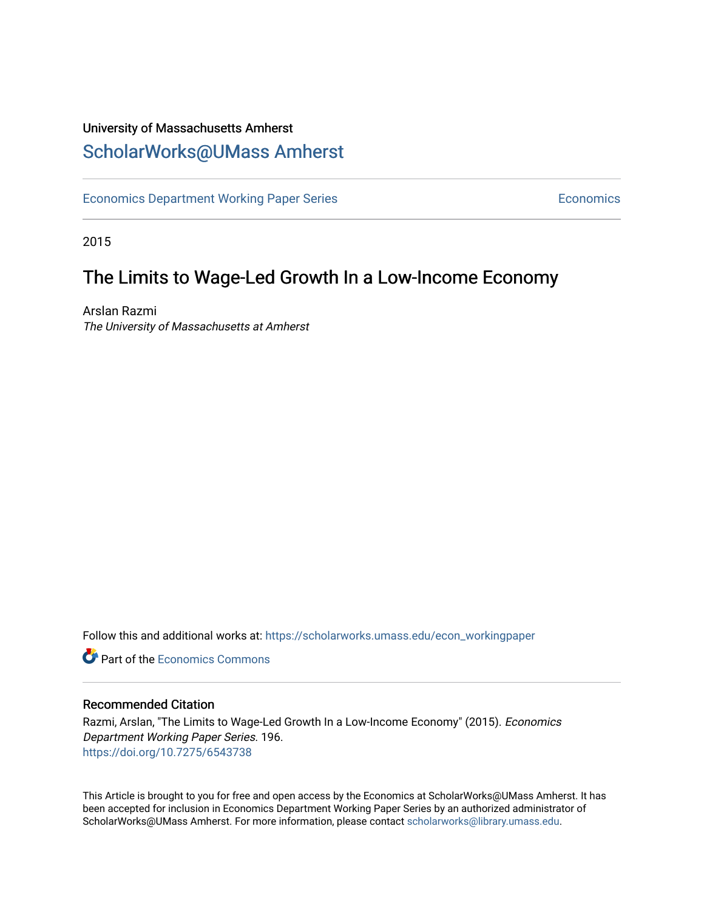# University of Massachusetts Amherst [ScholarWorks@UMass Amherst](https://scholarworks.umass.edu/)

[Economics Department Working Paper Series](https://scholarworks.umass.edu/econ_workingpaper) **Economics** Economics

2015

# The Limits to Wage-Led Growth In a Low-Income Economy

Arslan Razmi The University of Massachusetts at Amherst

Follow this and additional works at: [https://scholarworks.umass.edu/econ\\_workingpaper](https://scholarworks.umass.edu/econ_workingpaper?utm_source=scholarworks.umass.edu%2Fecon_workingpaper%2F196&utm_medium=PDF&utm_campaign=PDFCoverPages) 

**C** Part of the [Economics Commons](http://network.bepress.com/hgg/discipline/340?utm_source=scholarworks.umass.edu%2Fecon_workingpaper%2F196&utm_medium=PDF&utm_campaign=PDFCoverPages)

### Recommended Citation

Razmi, Arslan, "The Limits to Wage-Led Growth In a Low-Income Economy" (2015). Economics Department Working Paper Series. 196. <https://doi.org/10.7275/6543738>

This Article is brought to you for free and open access by the Economics at ScholarWorks@UMass Amherst. It has been accepted for inclusion in Economics Department Working Paper Series by an authorized administrator of ScholarWorks@UMass Amherst. For more information, please contact [scholarworks@library.umass.edu.](mailto:scholarworks@library.umass.edu)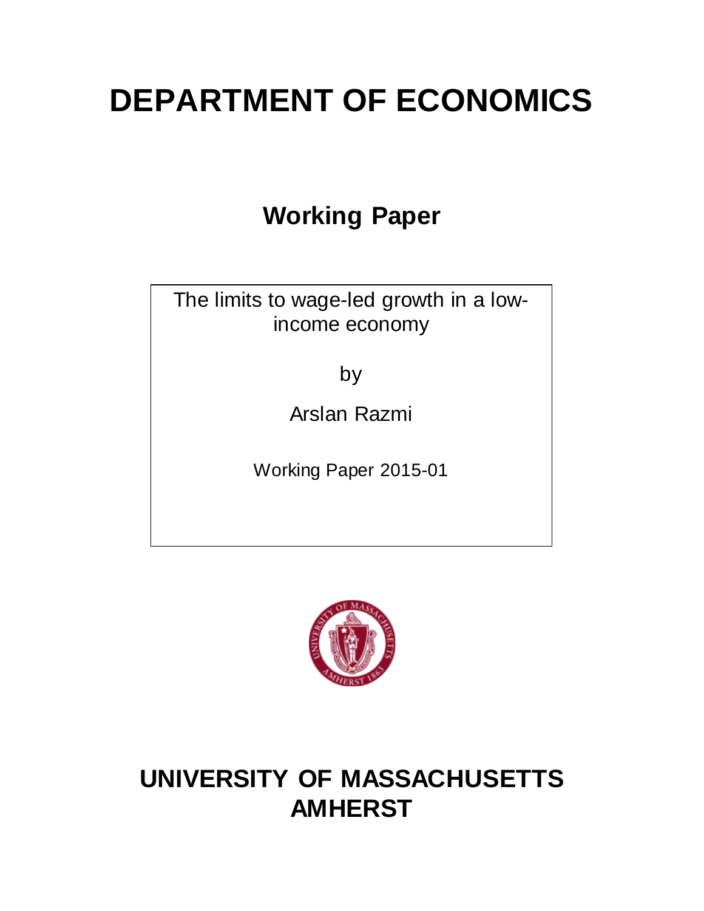# **DEPARTMENT OF ECONOMICS**

# **Working Paper**

The limits to wage-led growth in a lowincome economy

by

Arslan Razmi

Working Paper 2015-01



# **UNIVERSITY OF MASSACHUSETTS AMHERST**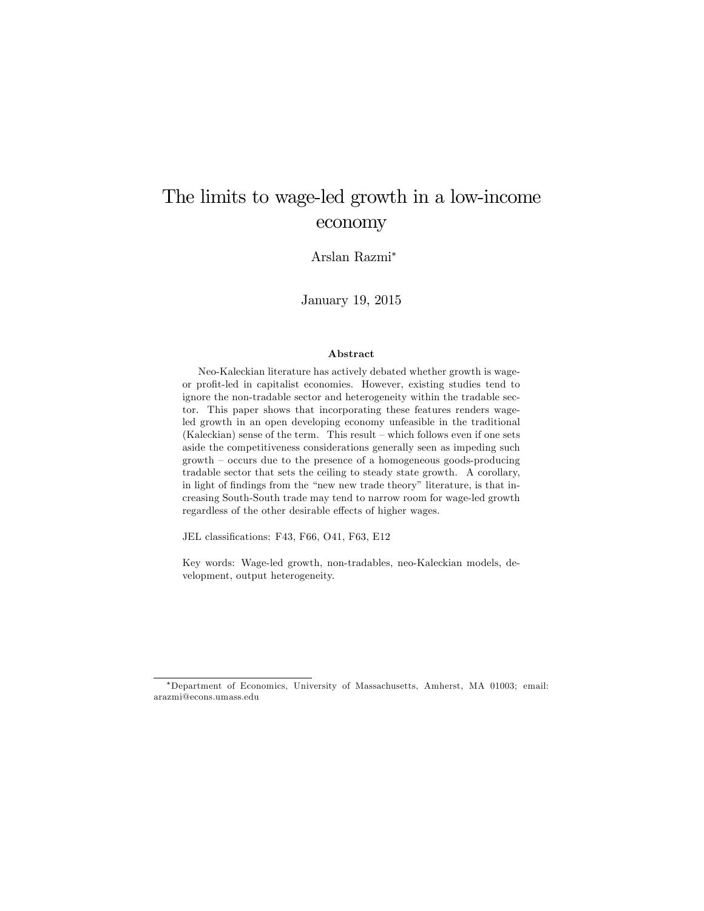# The limits to wage-led growth in a low-income economy

Arslan Razmi

January 19, 2015

#### Abstract

Neo-Kaleckian literature has actively debated whether growth is wageor profit-led in capitalist economies. However, existing studies tend to ignore the non-tradable sector and heterogeneity within the tradable sector. This paper shows that incorporating these features renders wageled growth in an open developing economy unfeasible in the traditional (Kaleckian) sense of the term. This result  $-$  which follows even if one sets aside the competitiveness considerations generally seen as impeding such  $growth - occurs due to the presence of a homogeneous goods-producing$ tradable sector that sets the ceiling to steady state growth. A corollary, in light of findings from the "new new trade theory" literature, is that increasing South-South trade may tend to narrow room for wage-led growth regardless of the other desirable effects of higher wages.

JEL classifications: F43, F66, O41, F63, E12

Key words: Wage-led growth, non-tradables, neo-Kaleckian models, development, output heterogeneity.

Department of Economics, University of Massachusetts, Amherst, MA 01003; email: arazmi@econs.umass.edu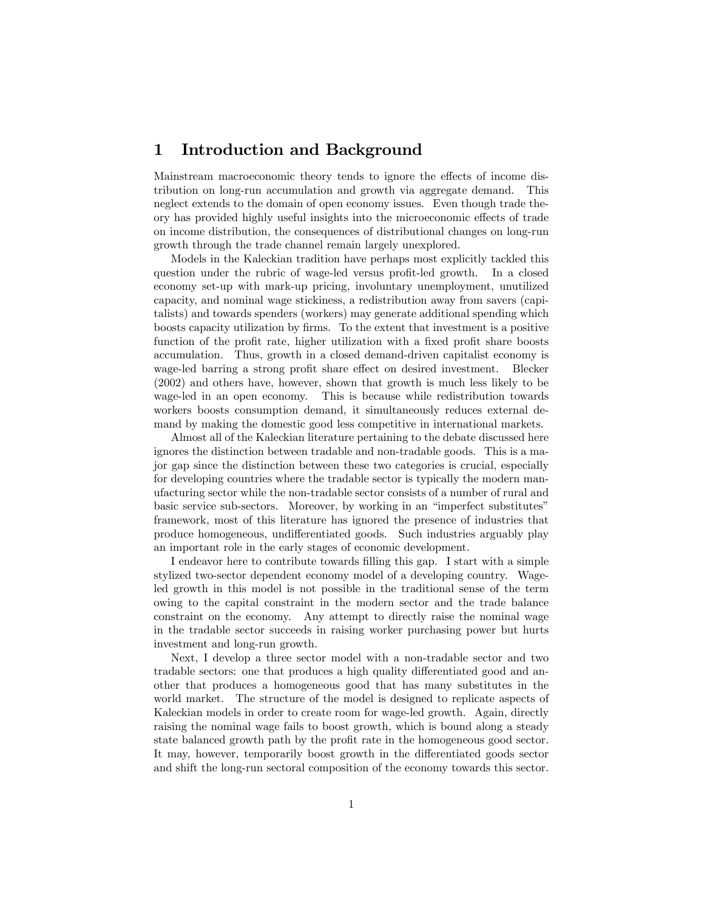## 1 Introduction and Background

Mainstream macroeconomic theory tends to ignore the effects of income distribution on long-run accumulation and growth via aggregate demand. This neglect extends to the domain of open economy issues. Even though trade theory has provided highly useful insights into the microeconomic effects of trade on income distribution, the consequences of distributional changes on long-run growth through the trade channel remain largely unexplored.

Models in the Kaleckian tradition have perhaps most explicitly tackled this question under the rubric of wage-led versus profit-led growth. In a closed economy set-up with mark-up pricing, involuntary unemployment, unutilized capacity, and nominal wage stickiness, a redistribution away from savers (capitalists) and towards spenders (workers) may generate additional spending which boosts capacity utilization by Örms. To the extent that investment is a positive function of the profit rate, higher utilization with a fixed profit share boosts accumulation. Thus, growth in a closed demand-driven capitalist economy is wage-led barring a strong profit share effect on desired investment. Blecker (2002) and others have, however, shown that growth is much less likely to be wage-led in an open economy. This is because while redistribution towards workers boosts consumption demand, it simultaneously reduces external demand by making the domestic good less competitive in international markets.

Almost all of the Kaleckian literature pertaining to the debate discussed here ignores the distinction between tradable and non-tradable goods. This is a major gap since the distinction between these two categories is crucial, especially for developing countries where the tradable sector is typically the modern manufacturing sector while the non-tradable sector consists of a number of rural and basic service sub-sectors. Moreover, by working in an "imperfect substitutes" framework, most of this literature has ignored the presence of industries that produce homogeneous, undifferentiated goods. Such industries arguably play an important role in the early stages of economic development.

I endeavor here to contribute towards Ölling this gap. I start with a simple stylized two-sector dependent economy model of a developing country. Wageled growth in this model is not possible in the traditional sense of the term owing to the capital constraint in the modern sector and the trade balance constraint on the economy. Any attempt to directly raise the nominal wage in the tradable sector succeeds in raising worker purchasing power but hurts investment and long-run growth.

Next, I develop a three sector model with a non-tradable sector and two tradable sectors: one that produces a high quality differentiated good and another that produces a homogeneous good that has many substitutes in the world market. The structure of the model is designed to replicate aspects of Kaleckian models in order to create room for wage-led growth. Again, directly raising the nominal wage fails to boost growth, which is bound along a steady state balanced growth path by the profit rate in the homogeneous good sector. It may, however, temporarily boost growth in the differentiated goods sector and shift the long-run sectoral composition of the economy towards this sector.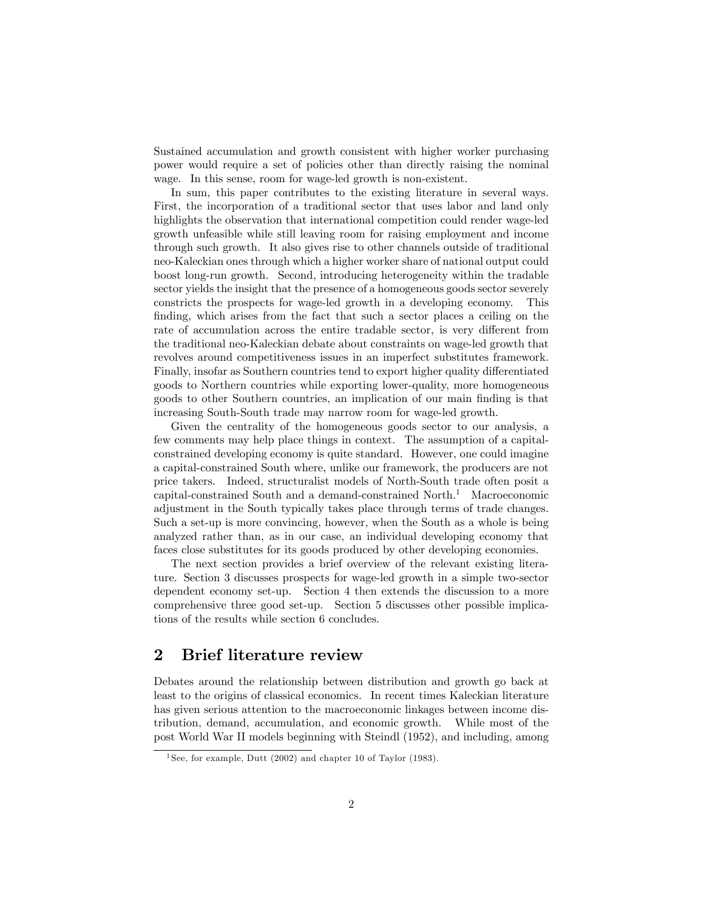Sustained accumulation and growth consistent with higher worker purchasing power would require a set of policies other than directly raising the nominal wage. In this sense, room for wage-led growth is non-existent.

In sum, this paper contributes to the existing literature in several ways. First, the incorporation of a traditional sector that uses labor and land only highlights the observation that international competition could render wage-led growth unfeasible while still leaving room for raising employment and income through such growth. It also gives rise to other channels outside of traditional neo-Kaleckian ones through which a higher worker share of national output could boost long-run growth. Second, introducing heterogeneity within the tradable sector yields the insight that the presence of a homogeneous goods sector severely constricts the prospects for wage-led growth in a developing economy. This finding, which arises from the fact that such a sector places a ceiling on the rate of accumulation across the entire tradable sector, is very different from the traditional neo-Kaleckian debate about constraints on wage-led growth that revolves around competitiveness issues in an imperfect substitutes framework. Finally, insofar as Southern countries tend to export higher quality differentiated goods to Northern countries while exporting lower-quality, more homogeneous goods to other Southern countries, an implication of our main Önding is that increasing South-South trade may narrow room for wage-led growth.

Given the centrality of the homogeneous goods sector to our analysis, a few comments may help place things in context. The assumption of a capitalconstrained developing economy is quite standard. However, one could imagine a capital-constrained South where, unlike our framework, the producers are not price takers. Indeed, structuralist models of North-South trade often posit a capital-constrained South and a demand-constrained North.<sup>1</sup> Macroeconomic adjustment in the South typically takes place through terms of trade changes. Such a set-up is more convincing, however, when the South as a whole is being analyzed rather than, as in our case, an individual developing economy that faces close substitutes for its goods produced by other developing economies.

The next section provides a brief overview of the relevant existing literature. Section 3 discusses prospects for wage-led growth in a simple two-sector dependent economy set-up. Section 4 then extends the discussion to a more comprehensive three good set-up. Section 5 discusses other possible implications of the results while section 6 concludes.

## 2 Brief literature review

Debates around the relationship between distribution and growth go back at least to the origins of classical economics. In recent times Kaleckian literature has given serious attention to the macroeconomic linkages between income distribution, demand, accumulation, and economic growth. While most of the post World War II models beginning with Steindl (1952), and including, among

 $\overline{^{1}$ See, for example, Dutt (2002) and chapter 10 of Taylor (1983).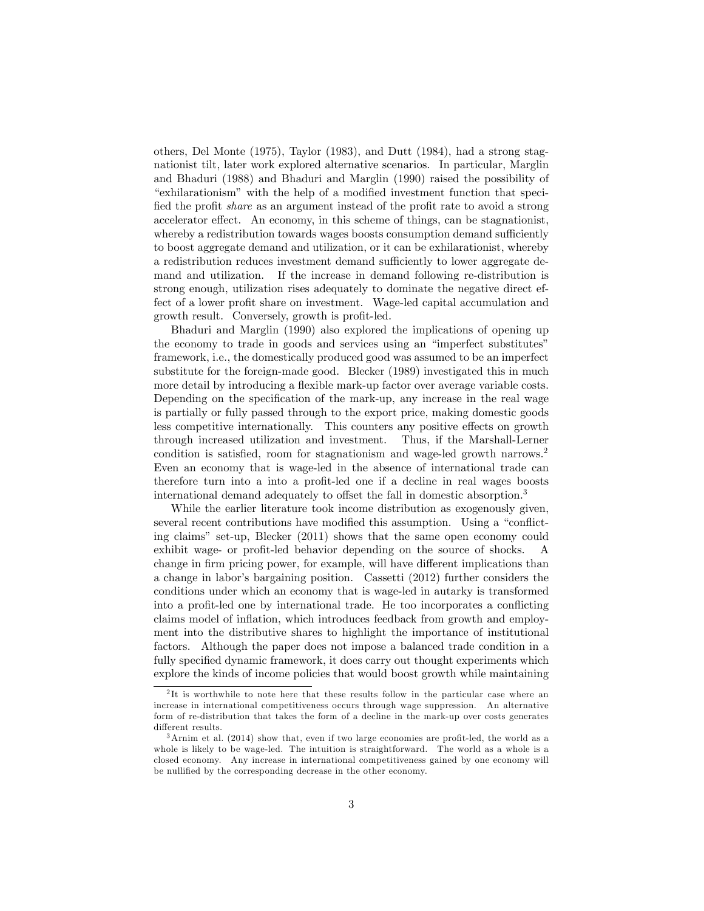others, Del Monte (1975), Taylor (1983), and Dutt (1984), had a strong stagnationist tilt, later work explored alternative scenarios. In particular, Marglin and Bhaduri (1988) and Bhaduri and Marglin (1990) raised the possibility of ìexhilarationismî with the help of a modiÖed investment function that specified the profit *share* as an argument instead of the profit rate to avoid a strong accelerator effect. An economy, in this scheme of things, can be stagnationist, whereby a redistribution towards wages boosts consumption demand sufficiently to boost aggregate demand and utilization, or it can be exhilarationist, whereby a redistribution reduces investment demand sufficiently to lower aggregate demand and utilization. If the increase in demand following re-distribution is strong enough, utilization rises adequately to dominate the negative direct effect of a lower profit share on investment. Wage-led capital accumulation and growth result. Conversely, growth is profit-led.

Bhaduri and Marglin (1990) also explored the implications of opening up the economy to trade in goods and services using an "imperfect substitutes" framework, i.e., the domestically produced good was assumed to be an imperfect substitute for the foreign-made good. Blecker (1989) investigated this in much more detail by introducing a flexible mark-up factor over average variable costs. Depending on the specification of the mark-up, any increase in the real wage is partially or fully passed through to the export price, making domestic goods less competitive internationally. This counters any positive effects on growth through increased utilization and investment. Thus, if the Marshall-Lerner condition is satisfied, room for stagnationism and wage-led growth narrows.<sup>2</sup> Even an economy that is wage-led in the absence of international trade can therefore turn into a into a profit-led one if a decline in real wages boosts international demand adequately to offset the fall in domestic absorption.<sup>3</sup>

While the earlier literature took income distribution as exogenously given, several recent contributions have modified this assumption. Using a "conflicting claims" set-up, Blecker (2011) shows that the same open economy could exhibit wage- or profit-led behavior depending on the source of shocks. A change in firm pricing power, for example, will have different implications than a change in labor's bargaining position. Cassetti (2012) further considers the conditions under which an economy that is wage-led in autarky is transformed into a profit-led one by international trade. He too incorporates a conflicting claims model of inflation, which introduces feedback from growth and employment into the distributive shares to highlight the importance of institutional factors. Although the paper does not impose a balanced trade condition in a fully specified dynamic framework, it does carry out thought experiments which explore the kinds of income policies that would boost growth while maintaining

<sup>&</sup>lt;sup>2</sup>It is worthwhile to note here that these results follow in the particular case where an increase in international competitiveness occurs through wage suppression. An alternative form of re-distribution that takes the form of a decline in the mark-up over costs generates different results.

 $3$ Arnim et al. (2014) show that, even if two large economies are profit-led, the world as a whole is likely to be wage-led. The intuition is straightforward. The world as a whole is a closed economy. Any increase in international competitiveness gained by one economy will be nullified by the corresponding decrease in the other economy.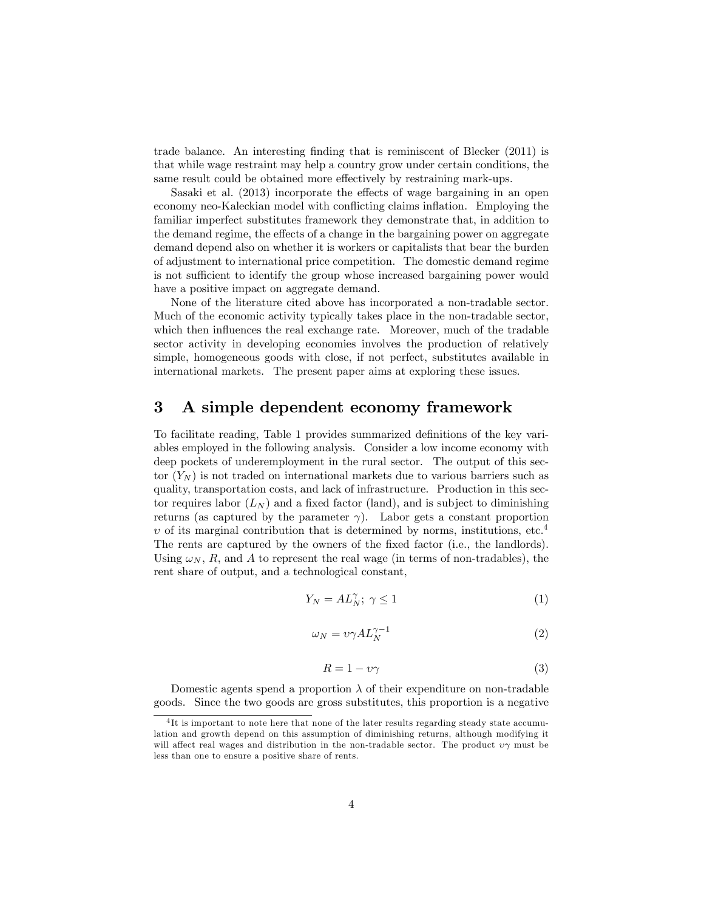trade balance. An interesting Önding that is reminiscent of Blecker (2011) is that while wage restraint may help a country grow under certain conditions, the same result could be obtained more effectively by restraining mark-ups.

Sasaki et al.  $(2013)$  incorporate the effects of wage bargaining in an open economy neo-Kaleckian model with conflicting claims inflation. Employing the familiar imperfect substitutes framework they demonstrate that, in addition to the demand regime, the effects of a change in the bargaining power on aggregate demand depend also on whether it is workers or capitalists that bear the burden of adjustment to international price competition. The domestic demand regime is not sufficient to identify the group whose increased bargaining power would have a positive impact on aggregate demand.

None of the literature cited above has incorporated a non-tradable sector. Much of the economic activity typically takes place in the non-tradable sector, which then influences the real exchange rate. Moreover, much of the tradable sector activity in developing economies involves the production of relatively simple, homogeneous goods with close, if not perfect, substitutes available in international markets. The present paper aims at exploring these issues.

## 3 A simple dependent economy framework

To facilitate reading, Table 1 provides summarized definitions of the key variables employed in the following analysis. Consider a low income economy with deep pockets of underemployment in the rural sector. The output of this sector  $(Y_N)$  is not traded on international markets due to various barriers such as quality, transportation costs, and lack of infrastructure. Production in this sector requires labor  $(L_N)$  and a fixed factor (land), and is subject to diminishing returns (as captured by the parameter  $\gamma$ ). Labor gets a constant proportion v of its marginal contribution that is determined by norms, institutions, etc.<sup>4</sup> The rents are captured by the owners of the fixed factor (i.e., the landlords). Using  $\omega_N$ , R, and A to represent the real wage (in terms of non-tradables), the rent share of output, and a technological constant,

$$
Y_N = AL_N^{\gamma}; \ \gamma \le 1 \tag{1}
$$

$$
\omega_N = \nu \gamma A L_N^{\gamma - 1} \tag{2}
$$

$$
R = 1 - \nu \gamma \tag{3}
$$

Domestic agents spend a proportion  $\lambda$  of their expenditure on non-tradable goods. Since the two goods are gross substitutes, this proportion is a negative

<sup>&</sup>lt;sup>4</sup>It is important to note here that none of the later results regarding steady state accumulation and growth depend on this assumption of diminishing returns, although modifying it will affect real wages and distribution in the non-tradable sector. The product  $\nu\gamma$  must be less than one to ensure a positive share of rents.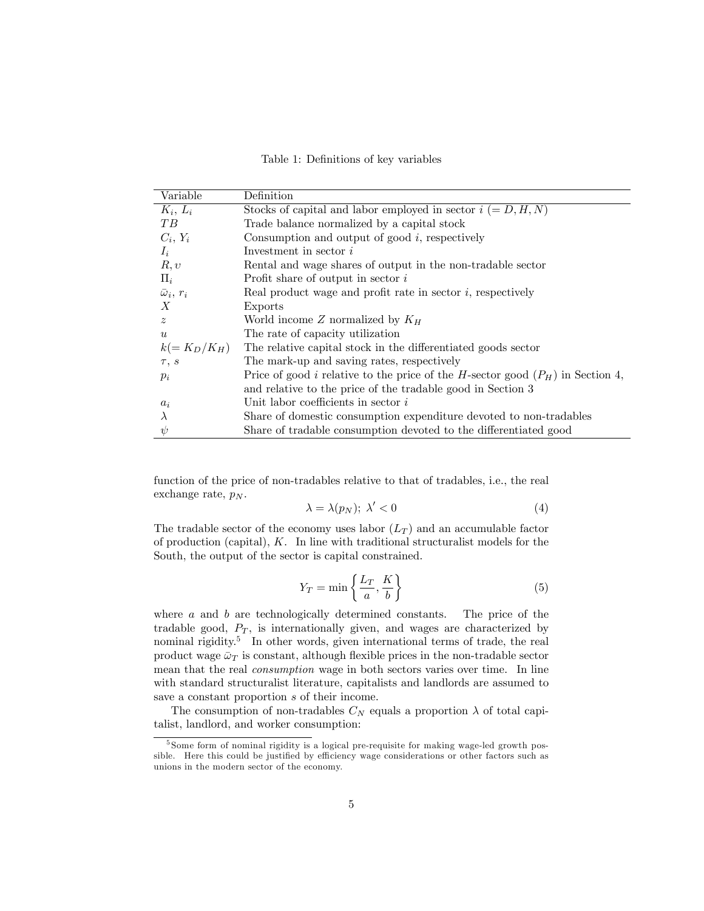Table 1: Definitions of key variables

| Variable              | Definition                                                                                      |
|-----------------------|-------------------------------------------------------------------------------------------------|
| $K_i, L_i$            | Stocks of capital and labor employed in sector $i (= D, H, N)$                                  |
| T B                   | Trade balance normalized by a capital stock                                                     |
| $C_i, Y_i$            | Consumption and output of good $i$ , respectively                                               |
| $I_i$                 | Investment in sector $i$                                                                        |
| R, v                  | Rental and wage shares of output in the non-tradable sector                                     |
| $\Pi_i$               | Profit share of output in sector $i$                                                            |
| $\bar{\omega}_i, r_i$ | Real product wage and profit rate in sector $i$ , respectively                                  |
| X                     | Exports                                                                                         |
| $\tilde{z}$           | World income Z normalized by $K_H$                                                              |
| $\boldsymbol{u}$      | The rate of capacity utilization                                                                |
| $k(=K_D/K_H)$         | The relative capital stock in the differentiated goods sector                                   |
| $\tau, s$             | The mark-up and saving rates, respectively                                                      |
| $p_i$                 | Price of good <i>i</i> relative to the price of the <i>H</i> -sector good $(P_H)$ in Section 4, |
|                       | and relative to the price of the tradable good in Section 3                                     |
| $a_i$                 | Unit labor coefficients in sector $i$                                                           |
| $\lambda$             | Share of domestic consumption expenditure devoted to non-tradables                              |
| $\psi$                | Share of tradable consumption devoted to the differentiated good                                |

function of the price of non-tradables relative to that of tradables, i.e., the real exchange rate,  $p_N$ .

$$
\lambda = \lambda(p_N); \ \lambda' < 0 \tag{4}
$$

The tradable sector of the economy uses labor  $(L_T)$  and an accumulable factor of production (capital), K. In line with traditional structuralist models for the South, the output of the sector is capital constrained.

$$
Y_T = \min\left\{\frac{L_T}{a}, \frac{K}{b}\right\} \tag{5}
$$

where  $a$  and  $b$  are technologically determined constants. The price of the tradable good,  $P_T$ , is internationally given, and wages are characterized by nominal rigidity.<sup>5</sup> In other words, given international terms of trade, the real product wage  $\bar{\omega}_T$  is constant, although flexible prices in the non-tradable sector mean that the real consumption wage in both sectors varies over time. In line with standard structuralist literature, capitalists and landlords are assumed to save a constant proportion s of their income.

The consumption of non-tradables  $C_N$  equals a proportion  $\lambda$  of total capitalist, landlord, and worker consumption:

<sup>5</sup> Some form of nominal rigidity is a logical pre-requisite for making wage-led growth possible. Here this could be justified by efficiency wage considerations or other factors such as unions in the modern sector of the economy.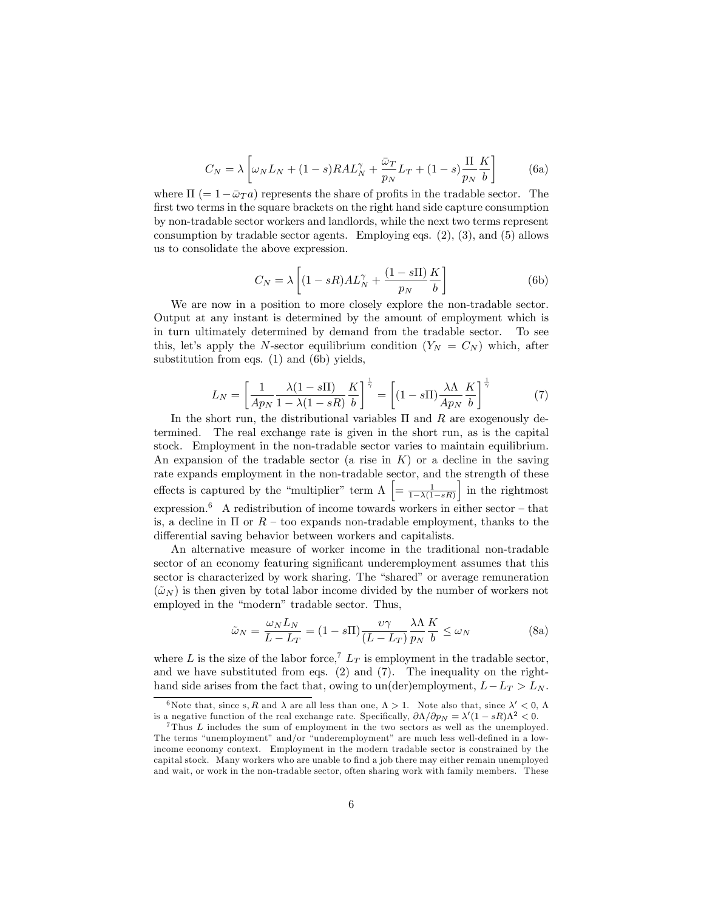$$
C_N = \lambda \left[ \omega_N L_N + (1 - s) R A L_N^{\gamma} + \frac{\bar{\omega}_T}{p_N} L_T + (1 - s) \frac{\Pi}{p_N} \frac{K}{b} \right]
$$
(6a)

where  $\Pi$  (=  $1 - \bar{\omega}_T a$ ) represents the share of profits in the tradable sector. The first two terms in the square brackets on the right hand side capture consumption by non-tradable sector workers and landlords, while the next two terms represent consumption by tradable sector agents. Employing eqs.  $(2), (3),$  and  $(5)$  allows us to consolidate the above expression.

$$
C_N = \lambda \left[ (1 - sR)AL_N^{\gamma} + \frac{(1 - s\Pi)K}{p_N} \right]
$$
 (6b)

We are now in a position to more closely explore the non-tradable sector. Output at any instant is determined by the amount of employment which is in turn ultimately determined by demand from the tradable sector. To see this, let's apply the N-sector equilibrium condition  $(Y_N = C_N)$  which, after substitution from eqs. (1) and (6b) yields,

$$
L_N = \left[\frac{1}{Ap_N} \frac{\lambda (1 - s\Pi)}{1 - \lambda (1 - sR)} \frac{K}{b}\right]^{\frac{1}{\gamma}} = \left[ (1 - s\Pi) \frac{\lambda \Lambda}{Ap_N} \frac{K}{b} \right]^{\frac{1}{\gamma}}
$$
(7)

In the short run, the distributional variables  $\Pi$  and  $R$  are exogenously determined. The real exchange rate is given in the short run, as is the capital stock. Employment in the non-tradable sector varies to maintain equilibrium. An expansion of the tradable sector (a rise in  $K$ ) or a decline in the saving rate expands employment in the non-tradable sector, and the strength of these effects is captured by the "multiplier" term  $\Lambda$   $\left[ = \frac{1}{1-\lambda(1-sR)} \right]$ i in the rightmost expression.<sup>6</sup> A redistribution of income towards workers in either sector  $-$  that is, a decline in  $\Pi$  or  $R$  – too expands non-tradable employment, thanks to the differential saving behavior between workers and capitalists.

An alternative measure of worker income in the traditional non-tradable sector of an economy featuring significant underemployment assumes that this sector is characterized by work sharing. The "shared" or average remuneration  $(\tilde{\omega}_N)$  is then given by total labor income divided by the number of workers not employed in the "modern" tradable sector. Thus,

$$
\tilde{\omega}_N = \frac{\omega_N L_N}{L - L_T} = (1 - s\Pi) \frac{\nu \gamma}{(L - L_T)} \frac{\lambda \Lambda}{p_N} \frac{K}{b} \le \omega_N \tag{8a}
$$

where L is the size of the labor force,<sup>7</sup>  $L_T$  is employment in the tradable sector, and we have substituted from eqs.  $(2)$  and  $(7)$ . The inequality on the righthand side arises from the fact that, owing to un(der)employment,  $L-L_T > L_N$ .

<sup>&</sup>lt;sup>6</sup>Note that, since s, R and  $\lambda$  are all less than one,  $\Lambda > 1$ . Note also that, since  $\lambda' < 0$ ,  $\Lambda$ is a negative function of the real exchange rate. Specifically,  $\partial \Lambda / \partial p_N = \lambda' (1 - sR) \Lambda^2 < 0$ .

<sup>7</sup> Thus L includes the sum of employment in the two sectors as well as the unemployed. The terms "unemployment" and/or "underemployment" are much less well-defined in a lowincome economy context. Employment in the modern tradable sector is constrained by the capital stock. Many workers who are unable to find a job there may either remain unemployed and wait, or work in the non-tradable sector, often sharing work with family members. These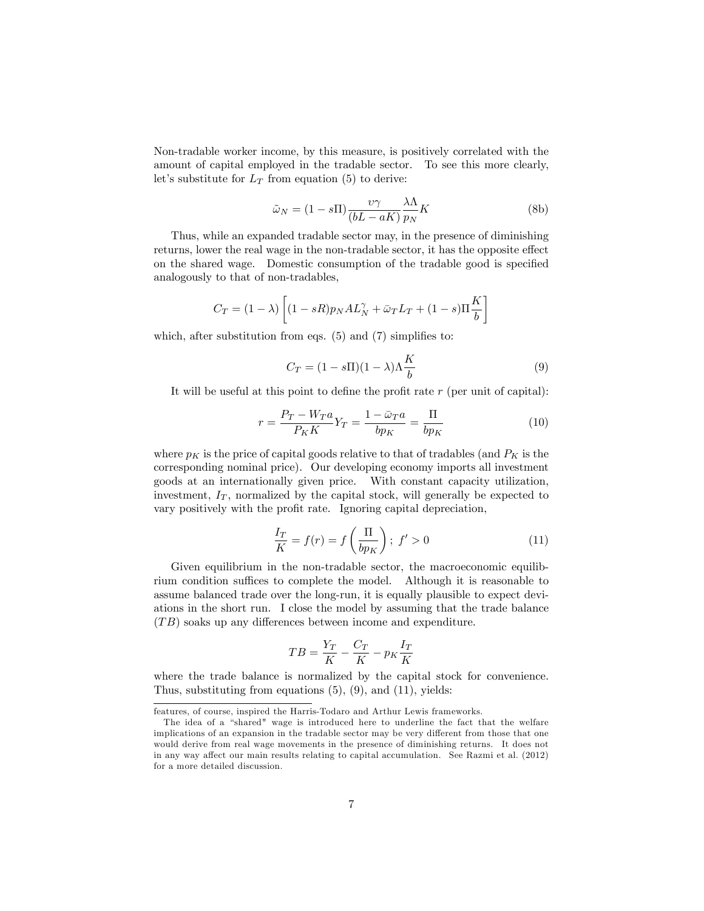Non-tradable worker income, by this measure, is positively correlated with the amount of capital employed in the tradable sector. To see this more clearly, let's substitute for  $L_T$  from equation (5) to derive:

$$
\tilde{\omega}_N = (1 - s\Pi) \frac{\upsilon \gamma}{(bL - aK)} \frac{\lambda \Lambda}{p_N} K \tag{8b}
$$

Thus, while an expanded tradable sector may, in the presence of diminishing returns, lower the real wage in the non-tradable sector, it has the opposite effect on the shared wage. Domestic consumption of the tradable good is specified analogously to that of non-tradables,

$$
C_T = (1 - \lambda) \left[ (1 - sR)p_N A L_N^{\gamma} + \bar{\omega}_T L_T + (1 - s) \Pi \frac{K}{b} \right]
$$

which, after substitution from eqs.  $(5)$  and  $(7)$  simplifies to:

$$
C_T = (1 - s\Pi)(1 - \lambda)\Lambda \frac{K}{b}
$$
\n(9)

It will be useful at this point to define the profit rate  $r$  (per unit of capital):

$$
r = \frac{P_T - W_T a}{P_K K} Y_T = \frac{1 - \bar{\omega}_T a}{bp_K} = \frac{\Pi}{bp_K}
$$
\n
$$
\tag{10}
$$

where  $p<sub>K</sub>$  is the price of capital goods relative to that of tradables (and  $P<sub>K</sub>$  is the corresponding nominal price). Our developing economy imports all investment goods at an internationally given price. With constant capacity utilization, investment,  $I_T$ , normalized by the capital stock, will generally be expected to vary positively with the profit rate. Ignoring capital depreciation,

$$
\frac{I_T}{K} = f(r) = f\left(\frac{\Pi}{bp_K}\right); \ f' > 0 \tag{11}
$$

Given equilibrium in the non-tradable sector, the macroeconomic equilibrium condition suffices to complete the model. Although it is reasonable to assume balanced trade over the long-run, it is equally plausible to expect deviations in the short run. I close the model by assuming that the trade balance  $(TB)$  soaks up any differences between income and expenditure.

$$
TB = \frac{Y_T}{K} - \frac{C_T}{K} - p_K \frac{I_T}{K}
$$

where the trade balance is normalized by the capital stock for convenience. Thus, substituting from equations (5), (9), and (11), yields:

features, of course, inspired the Harris-Todaro and Arthur Lewis frameworks.

The idea of a "shared" wage is introduced here to underline the fact that the welfare implications of an expansion in the tradable sector may be very different from those that one would derive from real wage movements in the presence of diminishing returns. It does not in any way affect our main results relating to capital accumulation. See Razmi et al. (2012) for a more detailed discussion.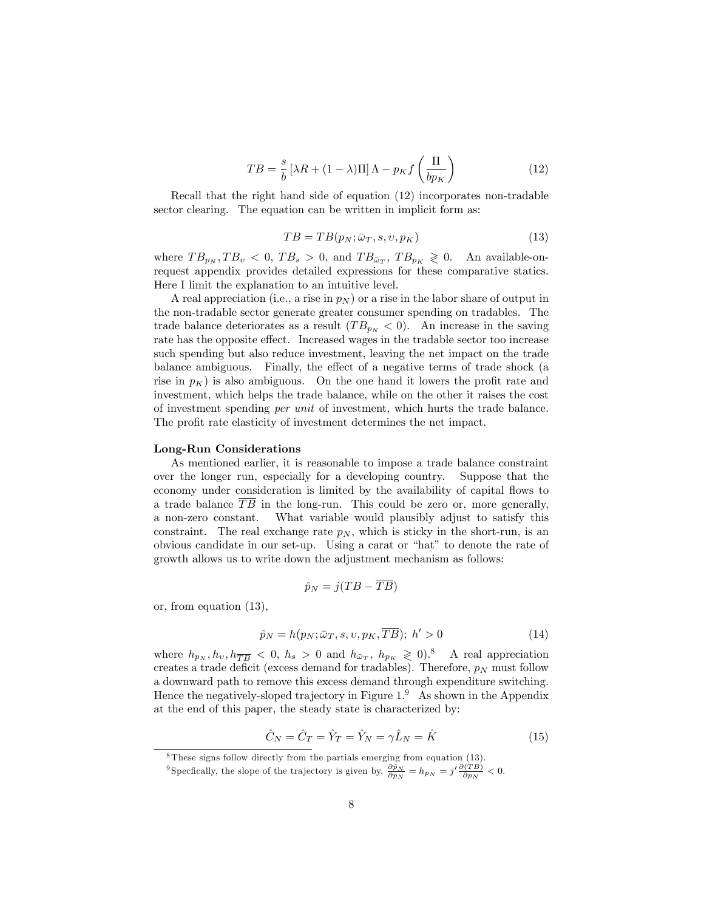$$
TB = \frac{s}{b} \left[ \lambda R + (1 - \lambda) \Pi \right] \Lambda - p_K f \left( \frac{\Pi}{bp_K} \right) \tag{12}
$$

Recall that the right hand side of equation (12) incorporates non-tradable sector clearing. The equation can be written in implicit form as:

$$
TB = TB(p_N; \bar{\omega}_T, s, v, p_K)
$$
\n<sup>(13)</sup>

where  $TB_{p_N}, TB_v < 0, TB_s > 0$ , and  $TB_{\bar{\omega}_T}, TB_{p_K} \geq 0$ . An available-onrequest appendix provides detailed expressions for these comparative statics. Here I limit the explanation to an intuitive level.

A real appreciation (i.e., a rise in  $p_N$ ) or a rise in the labor share of output in the non-tradable sector generate greater consumer spending on tradables. The trade balance deteriorates as a result  $(TB_{p_N} < 0)$ . An increase in the saving rate has the opposite effect. Increased wages in the tradable sector too increase such spending but also reduce investment, leaving the net impact on the trade balance ambiguous. Finally, the effect of a negative terms of trade shock (a rise in  $p_K$ ) is also ambiguous. On the one hand it lowers the profit rate and investment, which helps the trade balance, while on the other it raises the cost of investment spending per unit of investment, which hurts the trade balance. The profit rate elasticity of investment determines the net impact.

#### Long-Run Considerations

As mentioned earlier, it is reasonable to impose a trade balance constraint over the longer run, especially for a developing country. Suppose that the economy under consideration is limited by the availability of capital flows to a trade balance  $TB$  in the long-run. This could be zero or, more generally, a non-zero constant. What variable would plausibly adjust to satisfy this constraint. The real exchange rate  $p_N$ , which is sticky in the short-run, is an obvious candidate in our set-up. Using a carat or "hat" to denote the rate of growth allows us to write down the adjustment mechanism as follows:

$$
\hat{p}_N = j(TB - \overline{TB})
$$

or, from equation (13),

$$
\hat{p}_N = h(p_N; \bar{\omega}_T, s, v, p_K, \overline{TB}); \ h' > 0 \tag{14}
$$

where  $h_{p_N}, h_v, h_{\overline{TB}} < 0$ ,  $h_s > 0$  and  $h_{\bar{\omega}_T}, h_{p_K} \geq 0$ .<sup>8</sup> A real appreciation creates a trade deficit (excess demand for tradables). Therefore,  $p_N$  must follow a downward path to remove this excess demand through expenditure switching. Hence the negatively-sloped trajectory in Figure  $1<sup>9</sup>$  As shown in the Appendix at the end of this paper, the steady state is characterized by:

$$
\hat{C}_N = \hat{C}_T = \hat{Y}_T = \hat{Y}_N = \gamma \hat{L}_N = \hat{K}
$$
\n(15)

 $8$ These signs follow directly from the partials emerging from equation (13).

<sup>&</sup>lt;sup>9</sup> Specfically, the slope of the trajectory is given by,  $\frac{\partial \hat{p}_N}{\partial p_N} = h_{p_N} = j' \frac{\partial (TB)}{\partial p_N} < 0.$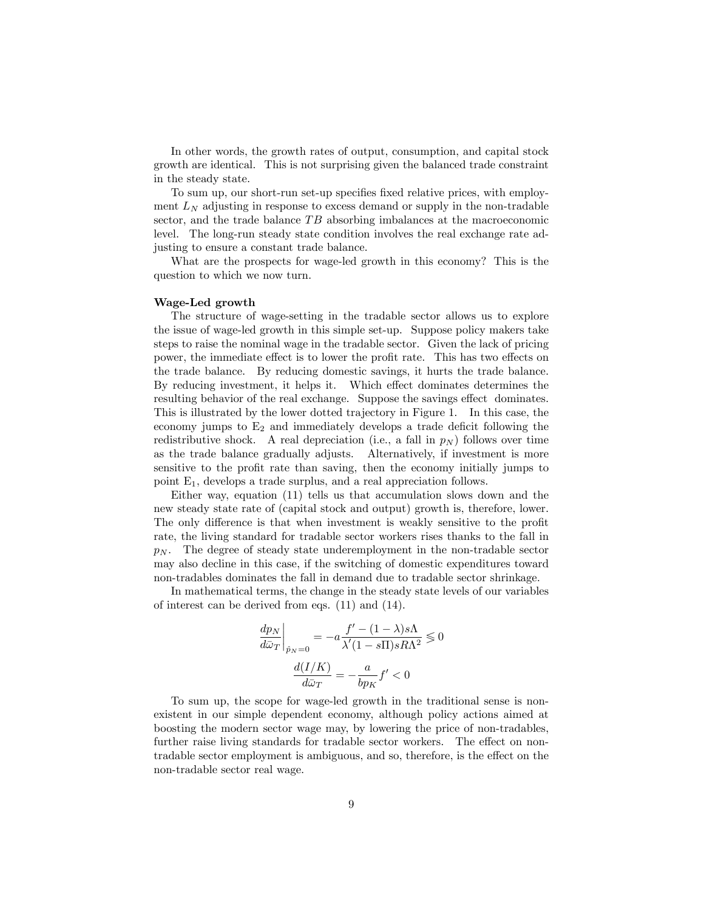In other words, the growth rates of output, consumption, and capital stock growth are identical. This is not surprising given the balanced trade constraint in the steady state.

To sum up, our short-run set-up specifies fixed relative prices, with employment  $L<sub>N</sub>$  adjusting in response to excess demand or supply in the non-tradable sector, and the trade balance  $TB$  absorbing imbalances at the macroeconomic level. The long-run steady state condition involves the real exchange rate adjusting to ensure a constant trade balance.

What are the prospects for wage-led growth in this economy? This is the question to which we now turn.

#### Wage-Led growth

The structure of wage-setting in the tradable sector allows us to explore the issue of wage-led growth in this simple set-up. Suppose policy makers take steps to raise the nominal wage in the tradable sector. Given the lack of pricing power, the immediate effect is to lower the profit rate. This has two effects on the trade balance. By reducing domestic savings, it hurts the trade balance. By reducing investment, it helps it. Which effect dominates determines the resulting behavior of the real exchange. Suppose the savings effect dominates. This is illustrated by the lower dotted trajectory in Figure 1. In this case, the economy jumps to  $E_2$  and immediately develops a trade deficit following the redistributive shock. A real depreciation (i.e., a fall in  $p<sub>N</sub>$ ) follows over time as the trade balance gradually adjusts. Alternatively, if investment is more sensitive to the profit rate than saving, then the economy initially jumps to point E1, develops a trade surplus, and a real appreciation follows.

Either way, equation (11) tells us that accumulation slows down and the new steady state rate of (capital stock and output) growth is, therefore, lower. The only difference is that when investment is weakly sensitive to the profit rate, the living standard for tradable sector workers rises thanks to the fall in  $p_N$ . The degree of steady state underemployment in the non-tradable sector may also decline in this case, if the switching of domestic expenditures toward non-tradables dominates the fall in demand due to tradable sector shrinkage.

In mathematical terms, the change in the steady state levels of our variables of interest can be derived from eqs. (11) and (14).

$$
\frac{dp_N}{d\bar{\omega}_T}\Big|_{\hat{p}_N=0} = -a \frac{f' - (1 - \lambda)s\Lambda}{\lambda'(1 - s\Pi)sR\Lambda^2} \lessgtr 0
$$

$$
\frac{d(I/K)}{d\bar{\omega}_T} = -\frac{a}{bp_K}f' < 0
$$

To sum up, the scope for wage-led growth in the traditional sense is nonexistent in our simple dependent economy, although policy actions aimed at boosting the modern sector wage may, by lowering the price of non-tradables, further raise living standards for tradable sector workers. The effect on nontradable sector employment is ambiguous, and so, therefore, is the effect on the non-tradable sector real wage.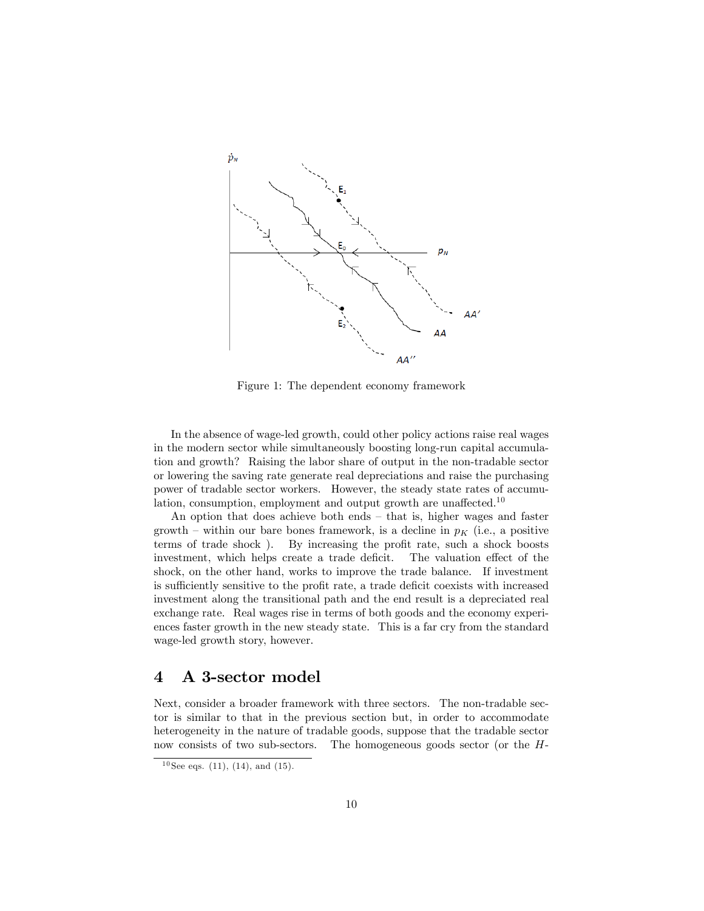

Figure 1: The dependent economy framework

In the absence of wage-led growth, could other policy actions raise real wages in the modern sector while simultaneously boosting long-run capital accumulation and growth? Raising the labor share of output in the non-tradable sector or lowering the saving rate generate real depreciations and raise the purchasing power of tradable sector workers. However, the steady state rates of accumulation, consumption, employment and output growth are unaffected.<sup>10</sup>

An option that does achieve both ends  $-$  that is, higher wages and faster growth – within our bare bones framework, is a decline in  $p<sub>K</sub>$  (i.e., a positive terms of trade shock ). By increasing the profit rate, such a shock boosts investment, which helps create a trade deficit. The valuation effect of the shock, on the other hand, works to improve the trade balance. If investment is sufficiently sensitive to the profit rate, a trade deficit coexists with increased investment along the transitional path and the end result is a depreciated real exchange rate. Real wages rise in terms of both goods and the economy experiences faster growth in the new steady state. This is a far cry from the standard wage-led growth story, however.

### 4 A 3-sector model

Next, consider a broader framework with three sectors. The non-tradable sector is similar to that in the previous section but, in order to accommodate heterogeneity in the nature of tradable goods, suppose that the tradable sector now consists of two sub-sectors. The homogeneous goods sector (or the H-

 $10$  See eqs. (11), (14), and (15).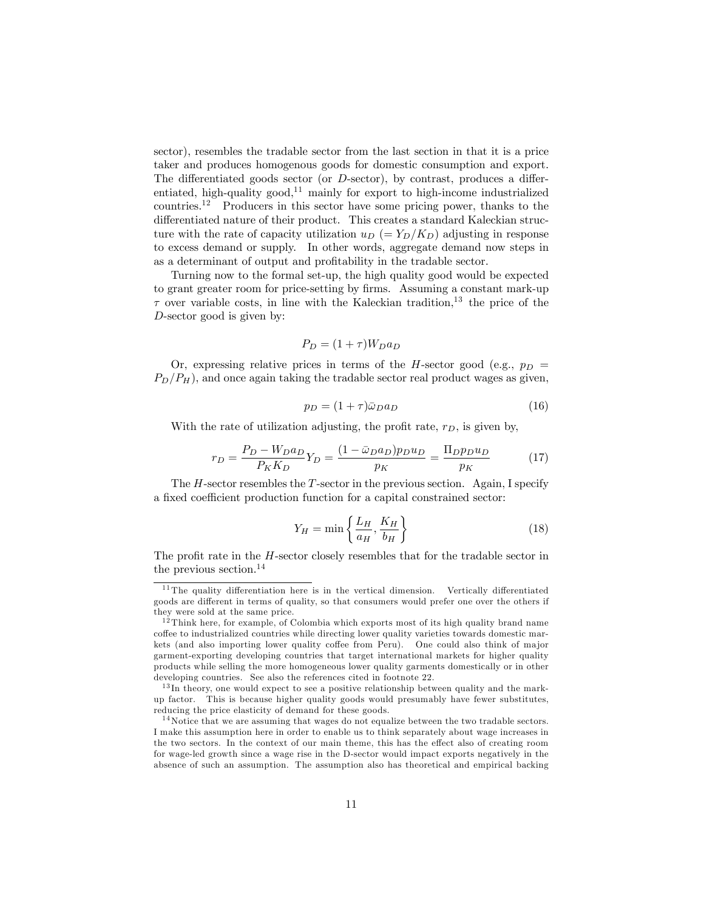sector), resembles the tradable sector from the last section in that it is a price taker and produces homogenous goods for domestic consumption and export. The differentiated goods sector (or  $D$ -sector), by contrast, produces a differentiated, high-quality  $\text{good}$ <sup>11</sup> mainly for export to high-income industrialized countries.<sup>12</sup> Producers in this sector have some pricing power, thanks to the differentiated nature of their product. This creates a standard Kaleckian structure with the rate of capacity utilization  $u_D = Y_D/K_D$ ) adjusting in response to excess demand or supply. In other words, aggregate demand now steps in as a determinant of output and profitability in the tradable sector.

Turning now to the formal set-up, the high quality good would be expected to grant greater room for price-setting by firms. Assuming a constant mark-up  $\tau$  over variable costs, in line with the Kaleckian tradition,<sup>13</sup> the price of the D-sector good is given by:

$$
P_D = (1 + \tau)W_D a_D
$$

Or, expressing relative prices in terms of the H-sector good (e.g.,  $p_D =$  $P_D/P_H$ ), and once again taking the tradable sector real product wages as given,

$$
p_D = (1 + \tau)\bar{\omega}_D a_D \tag{16}
$$

With the rate of utilization adjusting, the profit rate,  $r_D$ , is given by,

$$
r_D = \frac{P_D - W_D a_D}{P_K K_D} Y_D = \frac{(1 - \bar{\omega}_D a_D) p_D u_D}{p_K} = \frac{\Pi_D p_D u_D}{p_K} \tag{17}
$$

The  $H$ -sector resembles the  $T$ -sector in the previous section. Again, I specify a fixed coefficient production function for a capital constrained sector:

$$
Y_H = \min\left\{\frac{L_H}{a_H}, \frac{K_H}{b_H}\right\} \tag{18}
$$

The profit rate in the  $H$ -sector closely resembles that for the tradable sector in the previous section.<sup>14</sup>

 $11$ The quality differentiation here is in the vertical dimension. Vertically differentiated goods are different in terms of quality, so that consumers would prefer one over the others if they were sold at the same price.

 $12$  Think here, for example, of Colombia which exports most of its high quality brand name coffee to industrialized countries while directing lower quality varieties towards domestic markets (and also importing lower quality coffee from Peru). One could also think of major garment-exporting developing countries that target international markets for higher quality products while selling the more homogeneous lower quality garments domestically or in other developing countries. See also the references cited in footnote 22.

<sup>&</sup>lt;sup>13</sup>In theory, one would expect to see a positive relationship between quality and the markup factor. This is because higher quality goods would presumably have fewer substitutes, reducing the price elasticity of demand for these goods.

<sup>&</sup>lt;sup>14</sup> Notice that we are assuming that wages do not equalize between the two tradable sectors. I make this assumption here in order to enable us to think separately about wage increases in the two sectors. In the context of our main theme, this has the effect also of creating room for wage-led growth since a wage rise in the D-sector would impact exports negatively in the absence of such an assumption. The assumption also has theoretical and empirical backing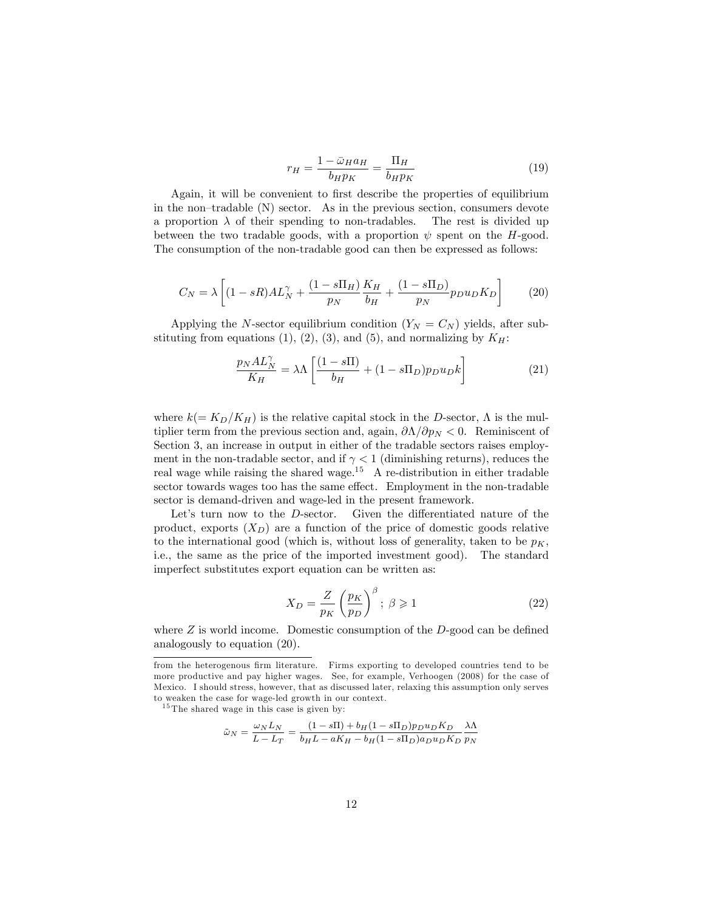$$
r_H = \frac{1 - \bar{\omega}_H a_H}{b_H p_K} = \frac{\Pi_H}{b_H p_K} \tag{19}
$$

Again, it will be convenient to first describe the properties of equilibrium in the non-tradable  $(N)$  sector. As in the previous section, consumers devote a proportion  $\lambda$  of their spending to non-tradables. The rest is divided up between the two tradable goods, with a proportion  $\psi$  spent on the H-good. The consumption of the non-tradable good can then be expressed as follows:

$$
C_N = \lambda \left[ (1 - sR)AL_N^{\gamma} + \frac{(1 - s\Pi_H)K_H}{p_N} + \frac{(1 - s\Pi_D)}{p_N} p_D u_D K_D \right] \tag{20}
$$

Applying the N-sector equilibrium condition  $(Y_N = C_N)$  yields, after substituting from equations (1), (2), (3), and (5), and normalizing by  $K_H$ :

$$
\frac{p_N A L_N^{\gamma}}{K_H} = \lambda \Lambda \left[ \frac{(1 - s \Pi)}{b_H} + (1 - s \Pi_D) p_D u_D k \right]
$$
 (21)

where  $k(= K_D/K_H)$  is the relative capital stock in the D-sector,  $\Lambda$  is the multiplier term from the previous section and, again,  $\partial \Lambda / \partial p_N < 0$ . Reminiscent of Section 3, an increase in output in either of the tradable sectors raises employment in the non-tradable sector, and if  $\gamma < 1$  (diminishing returns), reduces the real wage while raising the shared wage.<sup>15</sup> A re-distribution in either tradable sector towards wages too has the same effect. Employment in the non-tradable sector is demand-driven and wage-led in the present framework.

Let's turn now to the  $D$ -sector. Given the differentiated nature of the product, exports  $(X_D)$  are a function of the price of domestic goods relative to the international good (which is, without loss of generality, taken to be  $p<sub>K</sub>$ , i.e., the same as the price of the imported investment good). The standard imperfect substitutes export equation can be written as:

$$
X_D = \frac{Z}{p_K} \left(\frac{p_K}{p_D}\right)^{\beta}; \ \beta \geqslant 1 \tag{22}
$$

where  $Z$  is world income. Domestic consumption of the  $D$ -good can be defined analogously to equation (20).

$$
\tilde{\omega}_N = \frac{\omega_N L_N}{L - L_T} = \frac{(1 - s\Pi) + b_H(1 - s\Pi_D)p_D u_D K_D}{b_H L - aK_H - b_H(1 - s\Pi_D)a_D u_D K_D} \frac{\lambda \Lambda}{p_N}
$$

from the heterogenous firm literature. Firms exporting to developed countries tend to be more productive and pay higher wages. See, for example, Verhoogen (2008) for the case of Mexico. I should stress, however, that as discussed later, relaxing this assumption only serves to weaken the case for wage-led growth in our context.

 $15$  The shared wage in this case is given by: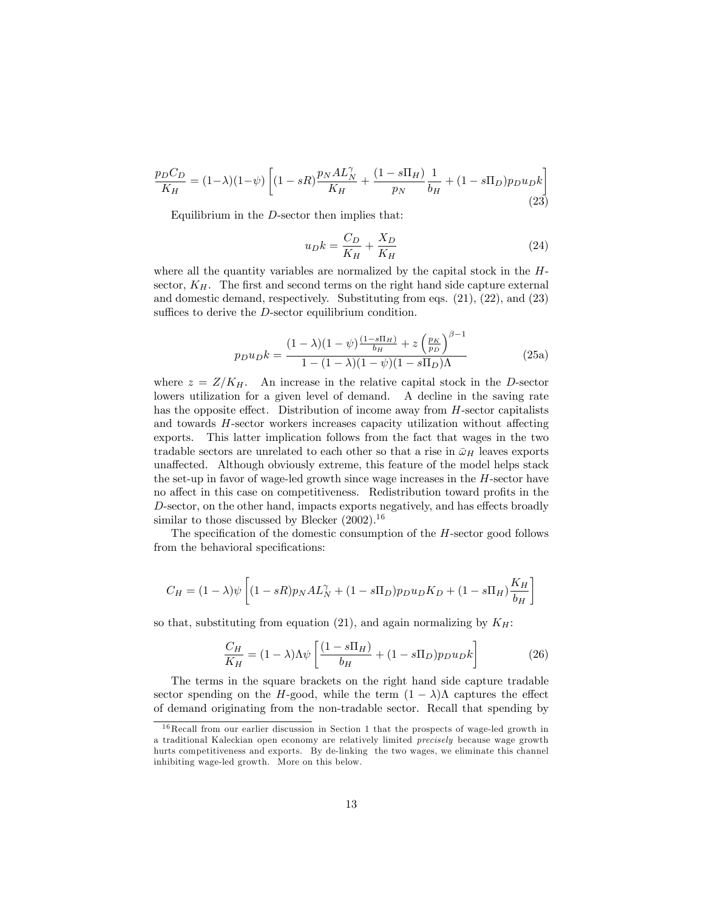$$
\frac{p_D C_D}{K_H} = (1 - \lambda)(1 - \psi) \left[ (1 - sR)\frac{p_N A L_N^{\gamma}}{K_H} + \frac{(1 - s\Pi_H)}{p_N} \frac{1}{b_H} + (1 - s\Pi_D)p_D u_D k \right] \tag{23}
$$

Equilibrium in the D-sector then implies that:

$$
u_D k = \frac{C_D}{K_H} + \frac{X_D}{K_H} \tag{24}
$$

where all the quantity variables are normalized by the capital stock in the  $H$ sector,  $K_H$ . The first and second terms on the right hand side capture external and domestic demand, respectively. Substituting from eqs. (21), (22), and (23) suffices to derive the  $D$ -sector equilibrium condition.

$$
p_D u_D k = \frac{(1 - \lambda)(1 - \psi)\frac{(1 - s\Pi_H)}{b_H} + z\left(\frac{p_K}{p_D}\right)^{\beta - 1}}{1 - (1 - \lambda)(1 - \psi)(1 - s\Pi_D)\Lambda}
$$
(25a)

where  $z = Z/K_H$ . An increase in the relative capital stock in the D-sector lowers utilization for a given level of demand. A decline in the saving rate has the opposite effect. Distribution of income away from  $H$ -sector capitalists and towards  $H$ -sector workers increases capacity utilization without affecting exports. This latter implication follows from the fact that wages in the two tradable sectors are unrelated to each other so that a rise in  $\bar{\omega}_H$  leaves exports unaffected. Although obviously extreme, this feature of the model helps stack the set-up in favor of wage-led growth since wage increases in the  $H$ -sector have no affect in this case on competitiveness. Redistribution toward profits in the  $D$ -sector, on the other hand, impacts exports negatively, and has effects broadly similar to those discussed by Blecker  $(2002).^{16}$ 

The specification of the domestic consumption of the  $H$ -sector good follows from the behavioral specifications:

$$
C_H = (1 - \lambda) \psi \left[ (1 - sR) p_N A L_N^{\gamma} + (1 - s\Pi_D) p_D u_D K_D + (1 - s\Pi_H) \frac{K_H}{b_H} \right]
$$

so that, substituting from equation (21), and again normalizing by  $K_H$ :

$$
\frac{C_H}{K_H} = (1 - \lambda)\Lambda \psi \left[ \frac{(1 - s\Pi_H)}{b_H} + (1 - s\Pi_D)p_D u_D k \right]
$$
(26)

The terms in the square brackets on the right hand side capture tradable sector spending on the H-good, while the term  $(1 - \lambda)\Lambda$  captures the effect of demand originating from the non-tradable sector. Recall that spending by

 $16$  Recall from our earlier discussion in Section 1 that the prospects of wage-led growth in a traditional Kaleckian open economy are relatively limited precisely because wage growth hurts competitiveness and exports. By de-linking the two wages, we eliminate this channel inhibiting wage-led growth. More on this below.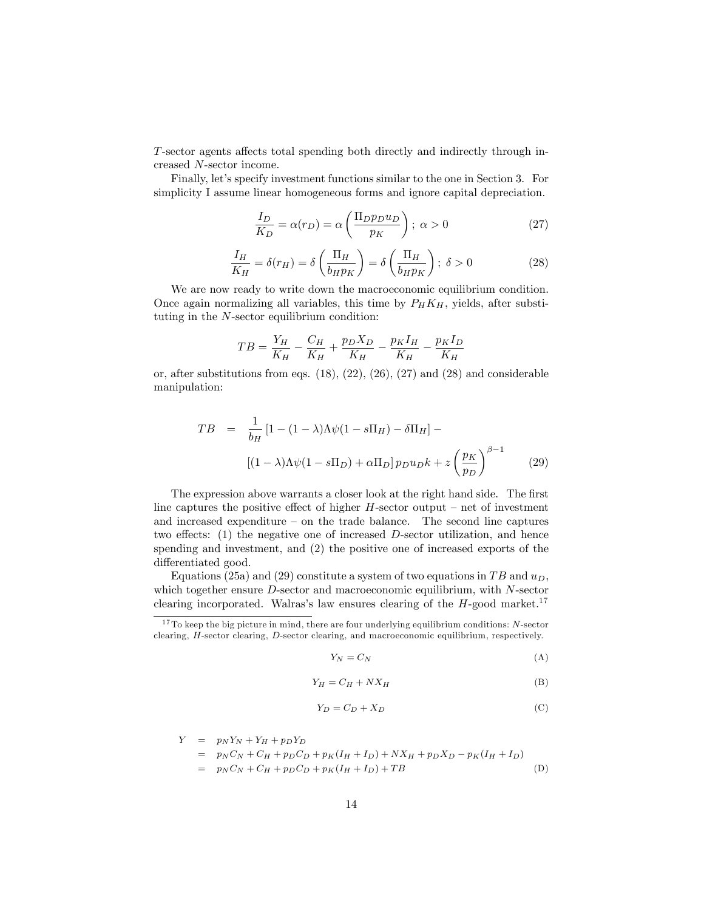T-sector agents affects total spending both directly and indirectly through increased N-sector income.

Finally, let's specify investment functions similar to the one in Section 3. For simplicity I assume linear homogeneous forms and ignore capital depreciation.

$$
\frac{I_D}{K_D} = \alpha(r_D) = \alpha \left(\frac{\Pi_D p_D u_D}{p_K}\right); \ \alpha > 0 \tag{27}
$$

$$
\frac{I_H}{K_H} = \delta(r_H) = \delta\left(\frac{\Pi_H}{b_H p_K}\right) = \delta\left(\frac{\Pi_H}{b_H p_K}\right); \ \delta > 0 \tag{28}
$$

We are now ready to write down the macroeconomic equilibrium condition. Once again normalizing all variables, this time by  $P_H K_H$ , yields, after substituting in the N-sector equilibrium condition:

$$
TB = \frac{Y_H}{K_H} - \frac{C_H}{K_H} + \frac{p_D X_D}{K_H} - \frac{p_K I_H}{K_H} - \frac{p_K I_D}{K_H}
$$

or, after substitutions from eqs.  $(18)$ ,  $(22)$ ,  $(26)$ ,  $(27)$  and  $(28)$  and considerable manipulation:

$$
TB = \frac{1}{b_H} \left[ 1 - (1 - \lambda)\Lambda \psi (1 - s\Pi_H) - \delta \Pi_H \right] -
$$

$$
\left[ (1 - \lambda)\Lambda \psi (1 - s\Pi_D) + \alpha \Pi_D \right] p_D u_D k + z \left( \frac{p_K}{p_D} \right)^{\beta - 1} \tag{29}
$$

The expression above warrants a closer look at the right hand side. The first line captures the positive effect of higher  $H$ -sector output  $-$  net of investment and increased expenditure  $-$  on the trade balance. The second line captures two effects:  $(1)$  the negative one of increased  $D$ -sector utilization, and hence spending and investment, and (2) the positive one of increased exports of the differentiated good.

Equations (25a) and (29) constitute a system of two equations in  $TB$  and  $u_D$ , which together ensure D-sector and macroeconomic equilibrium, with N-sector clearing incorporated. Walras's law ensures clearing of the  $H$ -good market.<sup>17</sup>

$$
Y_N = C_N \tag{A}
$$

$$
Y_H = C_H + N X_H \tag{B}
$$

$$
Y_D = C_D + X_D \tag{C}
$$

 $Y = p_N Y_N + Y_H + p_D Y_D$ 

$$
= p_N C_N + C_H + p_D C_D + p_K (I_H + I_D) + N X_H + p_D X_D - p_K (I_H + I_D)
$$

 $= p_N C_N + C_H + p_D C_D + p_K (I_H + I_D) + TB$  (D)

 $17$  To keep the big picture in mind, there are four underlying equilibrium conditions:  $N$ -sector clearing, H-sector clearing, D-sector clearing, and macroeconomic equilibrium, respectively.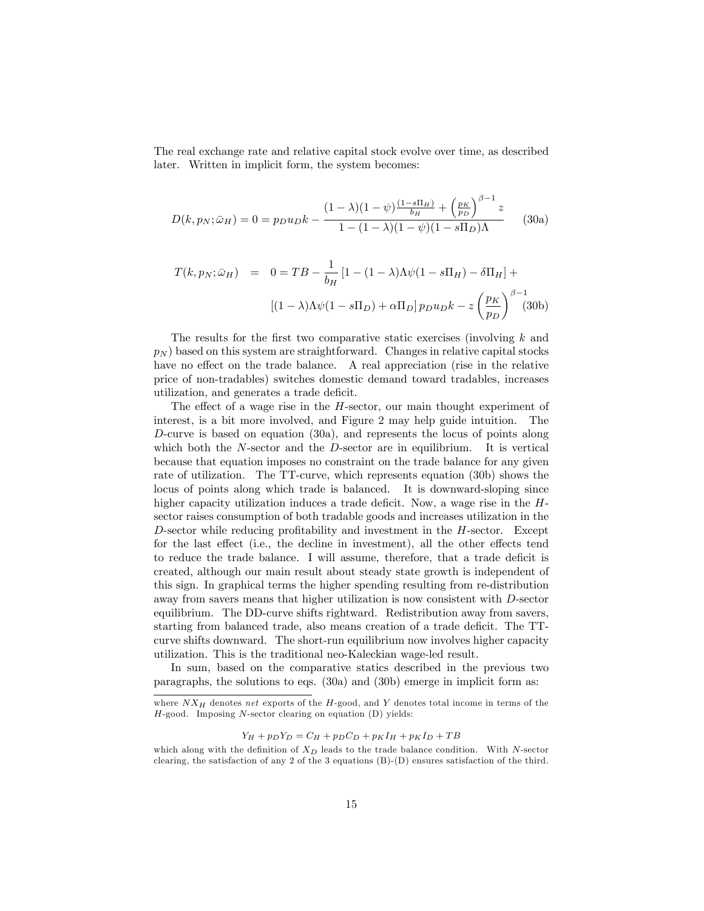The real exchange rate and relative capital stock evolve over time, as described later. Written in implicit form, the system becomes:

$$
D(k, p_N; \bar{\omega}_H) = 0 = p_D u_D k - \frac{(1 - \lambda)(1 - \psi)\frac{(1 - s\Pi_H)}{b_H} + (\frac{p_K}{p_D})^{\beta - 1} z}{1 - (1 - \lambda)(1 - \psi)(1 - s\Pi_D)\Lambda}
$$
(30a)

$$
T(k, p_N; \bar{\omega}_H) = 0 = TB - \frac{1}{b_H} \left[ 1 - (1 - \lambda) \Lambda \psi (1 - s \Pi_H) - \delta \Pi_H \right] +
$$

$$
\left[ (1 - \lambda) \Lambda \psi (1 - s \Pi_D) + \alpha \Pi_D \right] p_D u_D k - z \left( \frac{p_K}{p_D} \right)^{\beta - 1} (30b)
$$

The results for the first two comparative static exercises (involving  $k$  and  $p_N$  based on this system are straightforward. Changes in relative capital stocks have no effect on the trade balance. A real appreciation (rise in the relative price of non-tradables) switches domestic demand toward tradables, increases utilization, and generates a trade deficit.

The effect of a wage rise in the  $H$ -sector, our main thought experiment of interest, is a bit more involved, and Figure 2 may help guide intuition. The D-curve is based on equation  $(30a)$ , and represents the locus of points along which both the  $N$ -sector and the  $D$ -sector are in equilibrium. It is vertical because that equation imposes no constraint on the trade balance for any given rate of utilization. The TT-curve, which represents equation (30b) shows the locus of points along which trade is balanced. It is downward-sloping since higher capacity utilization induces a trade deficit. Now, a wage rise in the  $H$ sector raises consumption of both tradable goods and increases utilization in the D-sector while reducing profitability and investment in the  $H$ -sector. Except for the last effect (i.e., the decline in investment), all the other effects tend to reduce the trade balance. I will assume, therefore, that a trade deficit is created, although our main result about steady state growth is independent of this sign. In graphical terms the higher spending resulting from re-distribution away from savers means that higher utilization is now consistent with D-sector equilibrium. The DD-curve shifts rightward. Redistribution away from savers, starting from balanced trade, also means creation of a trade deficit. The TTcurve shifts downward. The short-run equilibrium now involves higher capacity utilization. This is the traditional neo-Kaleckian wage-led result.

In sum, based on the comparative statics described in the previous two paragraphs, the solutions to eqs. (30a) and (30b) emerge in implicit form as:

$$
Y_H + p_D Y_D = C_H + p_D C_D + p_K I_H + p_K I_D + T B
$$

where  $NX_H$  denotes net exports of the H-good, and Y denotes total income in terms of the  $H$ -good. Imposing  $N$ -sector clearing on equation  $(D)$  yields:

which along with the definition of  $X_D$  leads to the trade balance condition. With N-sector clearing, the satisfaction of any 2 of the 3 equations (B)-(D) ensures satisfaction of the third.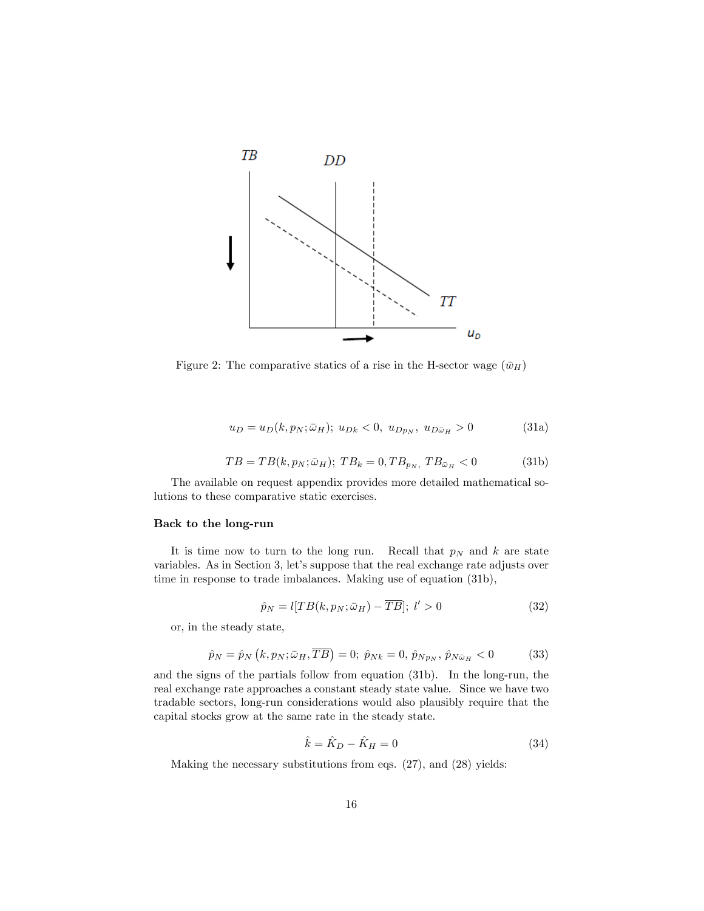

Figure 2: The comparative statics of a rise in the H-sector wage  $(\bar{w}_H)$ 

$$
u_D = u_D(k, p_N; \bar{\omega}_H); \ u_{Dk} < 0, \ u_{Dp_N}, \ u_{D\bar{\omega}_H} > 0 \tag{31a}
$$

$$
TB = TB(k, p_N; \bar{\omega}_H); \; TB_k = 0, TB_{p_N}, \; TB_{\bar{\omega}_H} < 0 \tag{31b}
$$

The available on request appendix provides more detailed mathematical solutions to these comparative static exercises.

#### Back to the long-run

It is time now to turn to the long run. Recall that  $p<sub>N</sub>$  and k are state variables. As in Section 3, let's suppose that the real exchange rate adjusts over time in response to trade imbalances. Making use of equation (31b),

$$
\hat{p}_N = l[TB(k, p_N; \bar{\omega}_H) - \overline{TB}]; \ l' > 0 \tag{32}
$$

or, in the steady state,

$$
\hat{p}_N = \hat{p}_N \left( k, p_N; \bar{\omega}_H, \overline{TB} \right) = 0; \ \hat{p}_{Nk} = 0, \ \hat{p}_{Np_N}, \ \hat{p}_{N\bar{\omega}_H} < 0 \tag{33}
$$

and the signs of the partials follow from equation (31b). In the long-run, the real exchange rate approaches a constant steady state value. Since we have two tradable sectors, long-run considerations would also plausibly require that the capital stocks grow at the same rate in the steady state.

$$
\hat{k} = \hat{K}_D - \hat{K}_H = 0
$$
\n(34)

Making the necessary substitutions from eqs. (27), and (28) yields: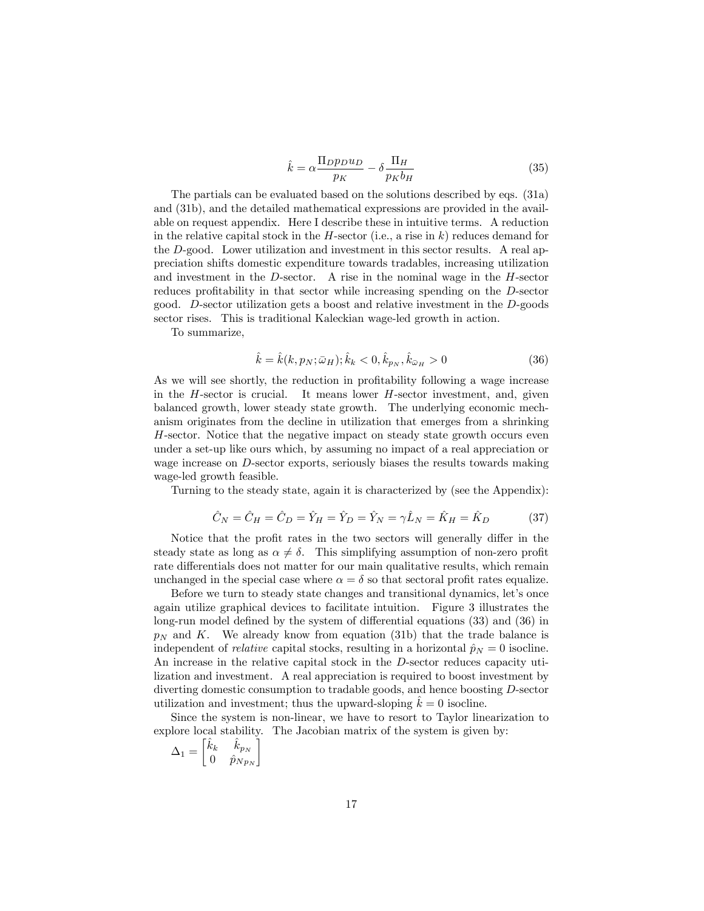$$
\hat{k} = \alpha \frac{\Pi_D p_D u_D}{p_K} - \delta \frac{\Pi_H}{p_K b_H} \tag{35}
$$

The partials can be evaluated based on the solutions described by eqs. (31a) and (31b), and the detailed mathematical expressions are provided in the available on request appendix. Here I describe these in intuitive terms. A reduction in the relative capital stock in the  $H$ -sector (i.e., a rise in k) reduces demand for the D-good. Lower utilization and investment in this sector results. A real appreciation shifts domestic expenditure towards tradables, increasing utilization and investment in the  $D$ -sector. A rise in the nominal wage in the  $H$ -sector reduces profitability in that sector while increasing spending on the D-sector good. D-sector utilization gets a boost and relative investment in the D-goods sector rises. This is traditional Kaleckian wage-led growth in action.

To summarize,

$$
\hat{k} = \hat{k}(k, p_N; \bar{\omega}_H); \hat{k}_k < 0, \hat{k}_{p_N}, \hat{k}_{\bar{\omega}_H} > 0 \tag{36}
$$

As we will see shortly, the reduction in profitability following a wage increase in the  $H$ -sector is crucial. It means lower  $H$ -sector investment, and, given balanced growth, lower steady state growth. The underlying economic mechanism originates from the decline in utilization that emerges from a shrinking H-sector. Notice that the negative impact on steady state growth occurs even under a set-up like ours which, by assuming no impact of a real appreciation or wage increase on D-sector exports, seriously biases the results towards making wage-led growth feasible.

Turning to the steady state, again it is characterized by (see the Appendix):

$$
\hat{C}_N = \hat{C}_H = \hat{C}_D = \hat{Y}_H = \hat{Y}_D = \hat{Y}_N = \gamma \hat{L}_N = \hat{K}_H = \hat{K}_D \tag{37}
$$

Notice that the profit rates in the two sectors will generally differ in the steady state as long as  $\alpha \neq \delta$ . This simplifying assumption of non-zero profit rate differentials does not matter for our main qualitative results, which remain unchanged in the special case where  $\alpha = \delta$  so that sectoral profit rates equalize.

Before we turn to steady state changes and transitional dynamics, let's once again utilize graphical devices to facilitate intuition. Figure 3 illustrates the long-run model defined by the system of differential equations  $(33)$  and  $(36)$  in  $p_N$  and K. We already know from equation (31b) that the trade balance is independent of *relative* capital stocks, resulting in a horizontal  $\hat{p}_N = 0$  isocline. An increase in the relative capital stock in the D-sector reduces capacity utilization and investment. A real appreciation is required to boost investment by diverting domestic consumption to tradable goods, and hence boosting D-sector utilization and investment; thus the upward-sloping  $k = 0$  isocline.

Since the system is non-linear, we have to resort to Taylor linearization to explore local stability. The Jacobian matrix of the system is given by:

$$
\Delta_1 = \begin{bmatrix} \hat{k}_k & \hat{k}_{p_N} \\ 0 & \hat{p}_{Np_N} \end{bmatrix}
$$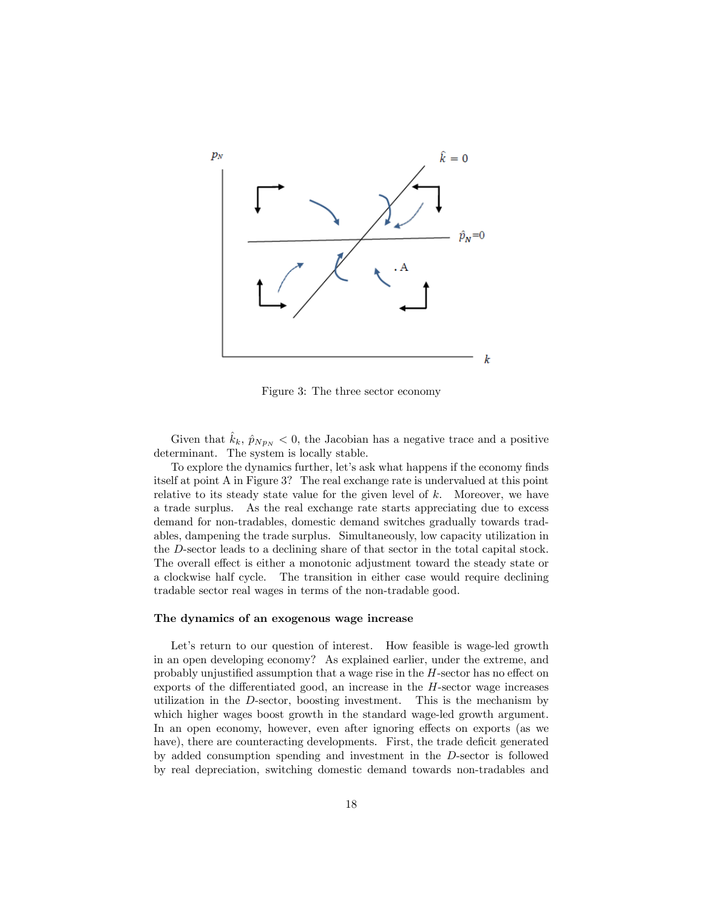

Figure 3: The three sector economy

Given that  $\hat{k}_k$ ,  $\hat{p}_{Np_N} < 0$ , the Jacobian has a negative trace and a positive determinant. The system is locally stable.

To explore the dynamics further, let's ask what happens if the economy finds itself at point A in Figure 3? The real exchange rate is undervalued at this point relative to its steady state value for the given level of  $k$ . Moreover, we have a trade surplus. As the real exchange rate starts appreciating due to excess demand for non-tradables, domestic demand switches gradually towards tradables, dampening the trade surplus. Simultaneously, low capacity utilization in the D-sector leads to a declining share of that sector in the total capital stock. The overall effect is either a monotonic adjustment toward the steady state or a clockwise half cycle. The transition in either case would require declining tradable sector real wages in terms of the non-tradable good.

#### The dynamics of an exogenous wage increase

Let's return to our question of interest. How feasible is wage-led growth in an open developing economy? As explained earlier, under the extreme, and probably unjustified assumption that a wage rise in the  $H$ -sector has no effect on exports of the differentiated good, an increase in the  $H$ -sector wage increases utilization in the D-sector, boosting investment. This is the mechanism by which higher wages boost growth in the standard wage-led growth argument. In an open economy, however, even after ignoring effects on exports (as we have), there are counteracting developments. First, the trade deficit generated by added consumption spending and investment in the D-sector is followed by real depreciation, switching domestic demand towards non-tradables and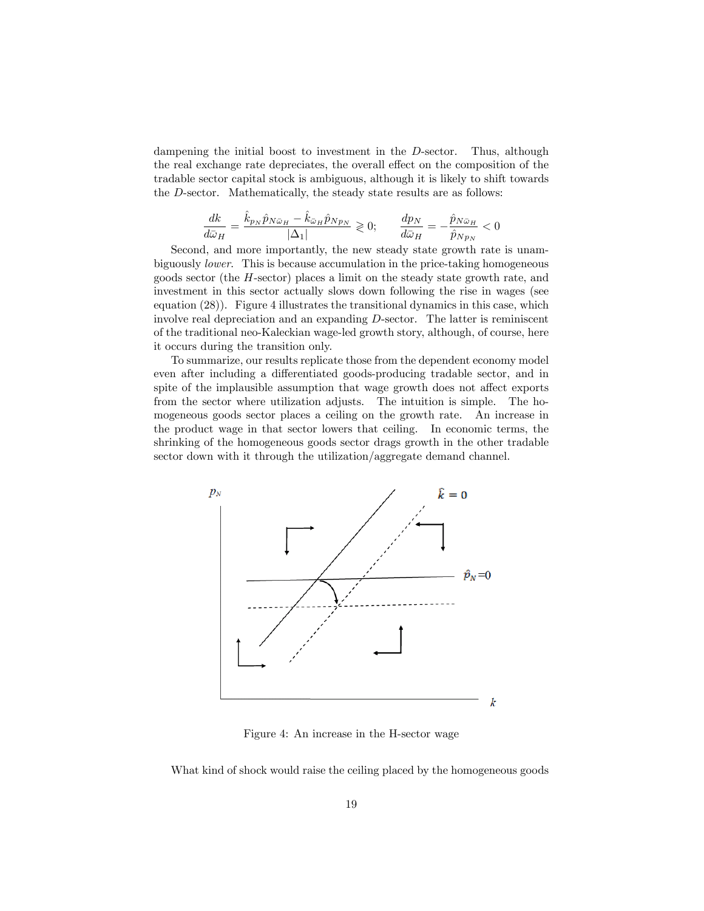dampening the initial boost to investment in the D-sector. Thus, although the real exchange rate depreciates, the overall effect on the composition of the tradable sector capital stock is ambiguous, although it is likely to shift towards the D-sector. Mathematically, the steady state results are as follows:

$$
\frac{dk}{d\bar{\omega}_H} = \frac{\hat{k}_{p_N}\hat{p}_{N\bar{\omega}_H} - \hat{k}_{\bar{\omega}_H}\hat{p}_{Np_N}}{|\Delta_1|} \geq 0; \qquad \frac{dp_N}{d\bar{\omega}_H} = -\frac{\hat{p}_{N\bar{\omega}_H}}{\hat{p}_{Np_N}} < 0
$$

Second, and more importantly, the new steady state growth rate is unambiguously lower. This is because accumulation in the price-taking homogeneous goods sector (the H-sector) places a limit on the steady state growth rate, and investment in this sector actually slows down following the rise in wages (see equation (28)). Figure 4 illustrates the transitional dynamics in this case, which involve real depreciation and an expanding D-sector. The latter is reminiscent of the traditional neo-Kaleckian wage-led growth story, although, of course, here it occurs during the transition only.

To summarize, our results replicate those from the dependent economy model even after including a differentiated goods-producing tradable sector, and in spite of the implausible assumption that wage growth does not affect exports from the sector where utilization adjusts. The intuition is simple. The homogeneous goods sector places a ceiling on the growth rate. An increase in the product wage in that sector lowers that ceiling. In economic terms, the shrinking of the homogeneous goods sector drags growth in the other tradable sector down with it through the utilization/aggregate demand channel.



Figure 4: An increase in the H-sector wage

What kind of shock would raise the ceiling placed by the homogeneous goods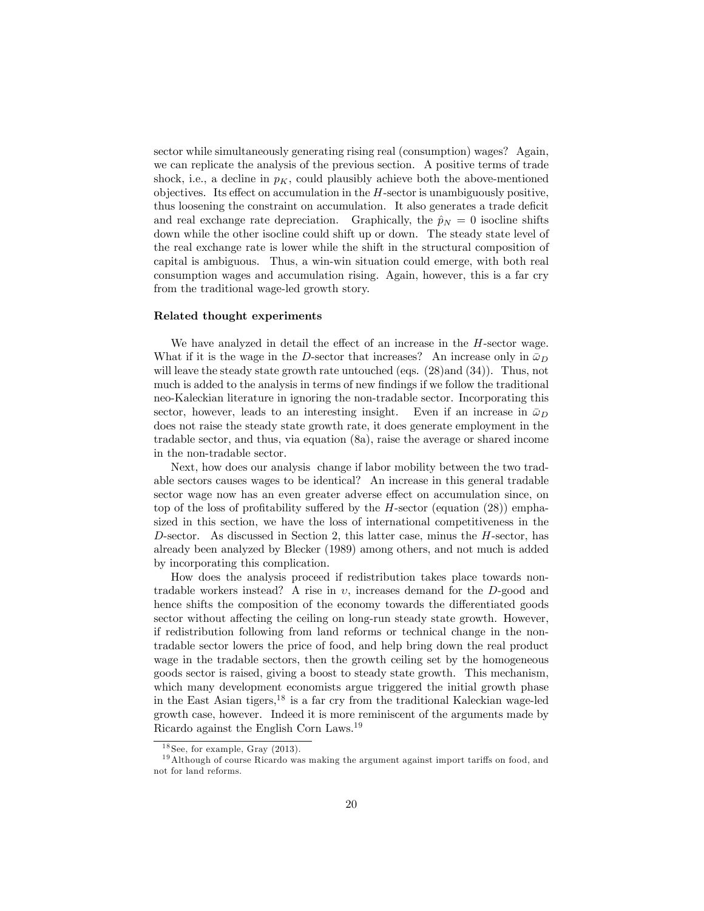sector while simultaneously generating rising real (consumption) wages? Again, we can replicate the analysis of the previous section. A positive terms of trade shock, i.e., a decline in  $p<sub>K</sub>$ , could plausibly achieve both the above-mentioned objectives. Its effect on accumulation in the  $H$ -sector is unambiguously positive, thus loosening the constraint on accumulation. It also generates a trade deficit and real exchange rate depreciation. Graphically, the  $\hat{p}_N = 0$  isocline shifts down while the other isocline could shift up or down. The steady state level of the real exchange rate is lower while the shift in the structural composition of capital is ambiguous. Thus, a win-win situation could emerge, with both real consumption wages and accumulation rising. Again, however, this is a far cry from the traditional wage-led growth story.

#### Related thought experiments

We have analyzed in detail the effect of an increase in the  $H$ -sector wage. What if it is the wage in the D-sector that increases? An increase only in  $\bar{\omega}_D$ will leave the steady state growth rate untouched (eqs. (28)and (34)). Thus, not much is added to the analysis in terms of new findings if we follow the traditional neo-Kaleckian literature in ignoring the non-tradable sector. Incorporating this sector, however, leads to an interesting insight. Even if an increase in  $\bar{\omega}_D$ does not raise the steady state growth rate, it does generate employment in the tradable sector, and thus, via equation (8a), raise the average or shared income in the non-tradable sector.

Next, how does our analysis change if labor mobility between the two tradable sectors causes wages to be identical? An increase in this general tradable sector wage now has an even greater adverse effect on accumulation since, on top of the loss of profitability suffered by the  $H$ -sector (equation (28)) emphasized in this section, we have the loss of international competitiveness in the D-sector. As discussed in Section 2, this latter case, minus the H-sector, has already been analyzed by Blecker (1989) among others, and not much is added by incorporating this complication.

How does the analysis proceed if redistribution takes place towards nontradable workers instead? A rise in  $v$ , increases demand for the  $D$ -good and hence shifts the composition of the economy towards the differentiated goods sector without affecting the ceiling on long-run steady state growth. However, if redistribution following from land reforms or technical change in the nontradable sector lowers the price of food, and help bring down the real product wage in the tradable sectors, then the growth ceiling set by the homogeneous goods sector is raised, giving a boost to steady state growth. This mechanism, which many development economists argue triggered the initial growth phase in the East Asian tigers,  $^{18}$  is a far cry from the traditional Kaleckian wage-led growth case, however. Indeed it is more reminiscent of the arguments made by Ricardo against the English Corn Laws.<sup>19</sup>

 $18$  See, for example, Gray  $(2013)$ .

 $19$ Although of course Ricardo was making the argument against import tariffs on food, and not for land reforms.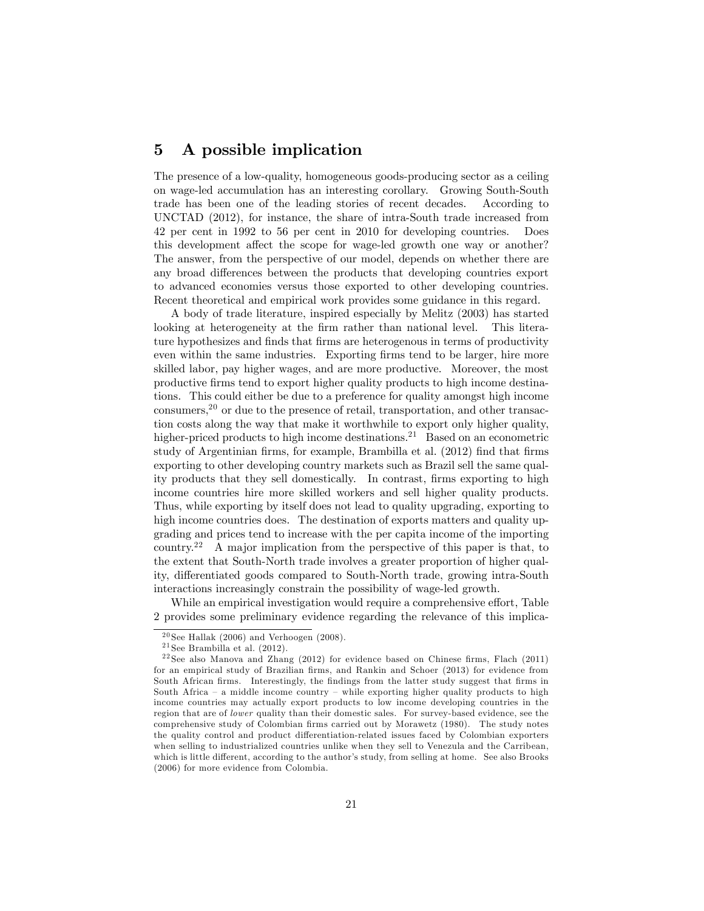# 5 A possible implication

The presence of a low-quality, homogeneous goods-producing sector as a ceiling on wage-led accumulation has an interesting corollary. Growing South-South trade has been one of the leading stories of recent decades. According to UNCTAD (2012), for instance, the share of intra-South trade increased from 42 per cent in 1992 to 56 per cent in 2010 for developing countries. Does this development affect the scope for wage-led growth one way or another? The answer, from the perspective of our model, depends on whether there are any broad differences between the products that developing countries export to advanced economies versus those exported to other developing countries. Recent theoretical and empirical work provides some guidance in this regard.

A body of trade literature, inspired especially by Melitz (2003) has started looking at heterogeneity at the firm rather than national level. This literature hypothesizes and finds that firms are heterogenous in terms of productivity even within the same industries. Exporting firms tend to be larger, hire more skilled labor, pay higher wages, and are more productive. Moreover, the most productive Örms tend to export higher quality products to high income destinations. This could either be due to a preference for quality amongst high income consumers, $^{20}$  or due to the presence of retail, transportation, and other transaction costs along the way that make it worthwhile to export only higher quality, higher-priced products to high income destinations.<sup>21</sup> Based on an econometric study of Argentinian firms, for example, Brambilla et al. (2012) find that firms exporting to other developing country markets such as Brazil sell the same quality products that they sell domestically. In contrast, firms exporting to high income countries hire more skilled workers and sell higher quality products. Thus, while exporting by itself does not lead to quality upgrading, exporting to high income countries does. The destination of exports matters and quality upgrading and prices tend to increase with the per capita income of the importing country.<sup>22</sup> A major implication from the perspective of this paper is that, to the extent that South-North trade involves a greater proportion of higher quality, differentiated goods compared to South-North trade, growing intra-South interactions increasingly constrain the possibility of wage-led growth.

While an empirical investigation would require a comprehensive effort, Table 2 provides some preliminary evidence regarding the relevance of this implica-

 $20$  See Hallak (2006) and Verhoogen (2008).

 $21$  See Brambilla et al.  $(2012)$ .

 $22$  See also Manova and Zhang (2012) for evidence based on Chinese firms, Flach (2011) for an empirical study of Brazilian firms, and Rankin and Schoer (2013) for evidence from South African firms. Interestingly, the findings from the latter study suggest that firms in South Africa  $\alpha$  a middle income country  $\alpha$  while exporting higher quality products to high income countries may actually export products to low income developing countries in the region that are of lower quality than their domestic sales. For survey-based evidence, see the comprehensive study of Colombian firms carried out by Morawetz (1980). The study notes the quality control and product differentiation-related issues faced by Colombian exporters when selling to industrialized countries unlike when they sell to Venezula and the Carribean, which is little different, according to the author's study, from selling at home. See also Brooks (2006) for more evidence from Colombia.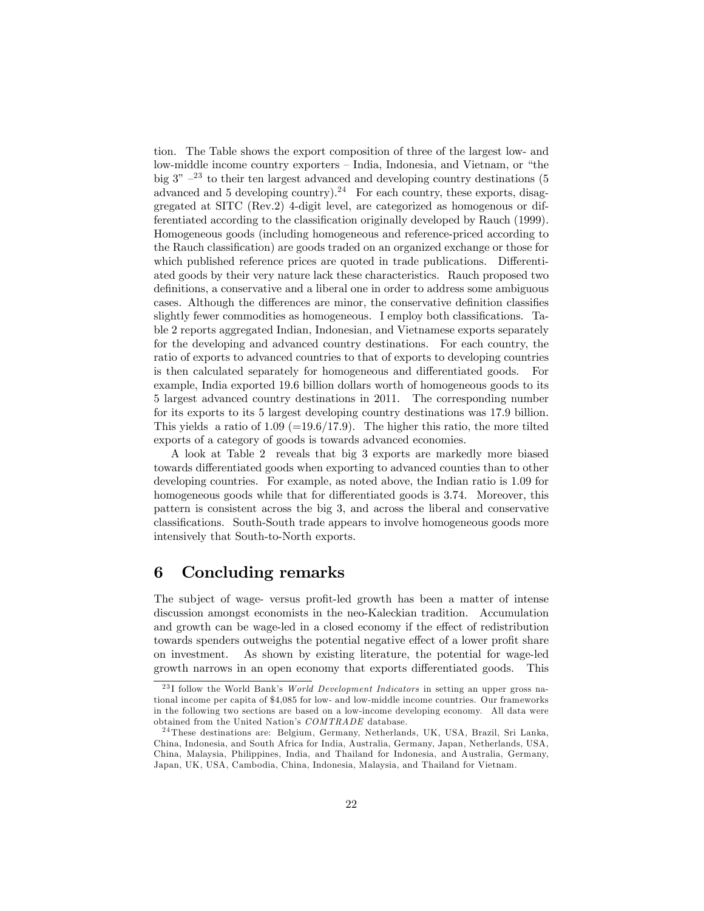tion. The Table shows the export composition of three of the largest low- and low-middle income country exporters – India, Indonesia, and Vietnam, or "the big  $3^{\circ}$ <sup>23</sup> to their ten largest advanced and developing country destinations (5) advanced and 5 developing country).<sup>24</sup> For each country, these exports, disaggregated at SITC (Rev.2) 4-digit level, are categorized as homogenous or differentiated according to the classification originally developed by Rauch (1999). Homogeneous goods (including homogeneous and reference-priced according to the Rauch classification) are goods traded on an organized exchange or those for which published reference prices are quoted in trade publications. Differentiated goods by their very nature lack these characteristics. Rauch proposed two definitions, a conservative and a liberal one in order to address some ambiguous cases. Although the differences are minor, the conservative definition classifies slightly fewer commodities as homogeneous. I employ both classifications. Table 2 reports aggregated Indian, Indonesian, and Vietnamese exports separately for the developing and advanced country destinations. For each country, the ratio of exports to advanced countries to that of exports to developing countries is then calculated separately for homogeneous and differentiated goods. For example, India exported 19.6 billion dollars worth of homogeneous goods to its 5 largest advanced country destinations in 2011. The corresponding number for its exports to its 5 largest developing country destinations was 17.9 billion. This yields a ratio of  $1.09$  (=19.6/17.9). The higher this ratio, the more tilted exports of a category of goods is towards advanced economies.

A look at Table 2 reveals that big 3 exports are markedly more biased towards differentiated goods when exporting to advanced counties than to other developing countries. For example, as noted above, the Indian ratio is 1.09 for homogeneous goods while that for differentiated goods is 3.74. Moreover, this pattern is consistent across the big 3, and across the liberal and conservative classifications. South-South trade appears to involve homogeneous goods more intensively that South-to-North exports.

## 6 Concluding remarks

The subject of wage- versus profit-led growth has been a matter of intense discussion amongst economists in the neo-Kaleckian tradition. Accumulation and growth can be wage-led in a closed economy if the effect of redistribution towards spenders outweighs the potential negative effect of a lower profit share on investment. As shown by existing literature, the potential for wage-led growth narrows in an open economy that exports differentiated goods. This

 $^{23}$ I follow the World Bank's World Development Indicators in setting an upper gross national income per capita of \$4,085 for low- and low-middle income countries. Our frameworks in the following two sections are based on a low-income developing economy. All data were obtained from the United Nation's COMTRADE database.

<sup>2 4</sup> These destinations are: Belgium, Germany, Netherlands, UK, USA, Brazil, Sri Lanka, China, Indonesia, and South Africa for India, Australia, Germany, Japan, Netherlands, USA, China, Malaysia, Philippines, India, and Thailand for Indonesia, and Australia, Germany, Japan, UK, USA, Cambodia, China, Indonesia, Malaysia, and Thailand for Vietnam.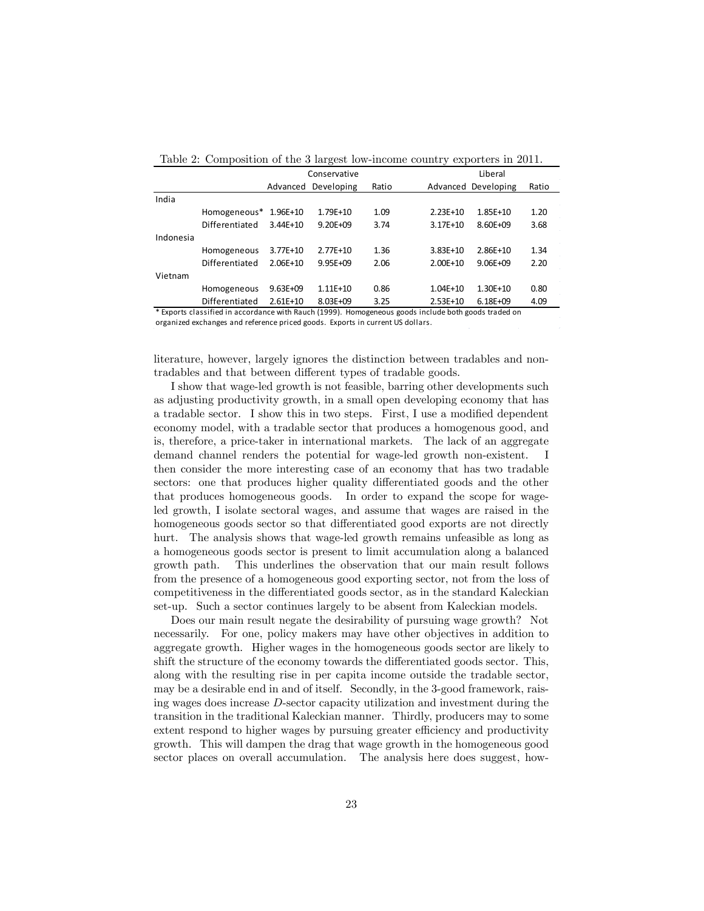|           |                       |              | Conservative        |       | Liberal                      |       |  |  |
|-----------|-----------------------|--------------|---------------------|-------|------------------------------|-------|--|--|
|           |                       |              | Advanced Developing | Ratio | Advanced Developing          | Ratio |  |  |
| India     |                       |              |                     |       |                              |       |  |  |
|           | Homogeneous* 1.96E+10 |              | 1.79E+10            | 1.09  | $2.23E+10$<br>$1.85E+10$     | 1.20  |  |  |
|           | Differentiated        | $3.44E + 10$ | $9.20E + 09$        | 3.74  | $8.60E + 09$<br>$3.17E + 10$ | 3.68  |  |  |
| Indonesia |                       |              |                     |       |                              |       |  |  |
|           | Homogeneous           | $3.77E + 10$ | $2.77E+10$          | 1.36  | $3.83E+10$<br>$2.86E+10$     | 1.34  |  |  |
|           | Differentiated        | $2.06E+10$   | $9.95E + 09$        | 2.06  | $2.00E + 10$<br>$9.06E + 09$ | 2.20  |  |  |
| Vietnam   |                       |              |                     |       |                              |       |  |  |
|           | Homogeneous           | $9.63E + 09$ | $1.11E + 10$        | 0.86  | $1.04E + 10$<br>$1.30E + 10$ | 0.80  |  |  |
|           | Differentiated        | $2.61E+10$   | $8.03E + 09$        | 3.25  | $2.53E+10$<br>$6.18E + 09$   | 4.09  |  |  |

Table 2: Composition of the 3 largest low-income country exporters in 2011.

organized exchanges and reference priced goods. Exports in current US dollars.

literature, however, largely ignores the distinction between tradables and nontradables and that between different types of tradable goods.

I show that wage-led growth is not feasible, barring other developments such as adjusting productivity growth, in a small open developing economy that has a tradable sector. I show this in two steps. First, I use a modified dependent economy model, with a tradable sector that produces a homogenous good, and is, therefore, a price-taker in international markets. The lack of an aggregate demand channel renders the potential for wage-led growth non-existent. I then consider the more interesting case of an economy that has two tradable sectors: one that produces higher quality differentiated goods and the other that produces homogeneous goods. In order to expand the scope for wageled growth, I isolate sectoral wages, and assume that wages are raised in the homogeneous goods sector so that differentiated good exports are not directly hurt. The analysis shows that wage-led growth remains unfeasible as long as a homogeneous goods sector is present to limit accumulation along a balanced growth path. This underlines the observation that our main result follows from the presence of a homogeneous good exporting sector, not from the loss of competitiveness in the differentiated goods sector, as in the standard Kaleckian set-up. Such a sector continues largely to be absent from Kaleckian models.

Does our main result negate the desirability of pursuing wage growth? Not necessarily. For one, policy makers may have other objectives in addition to aggregate growth. Higher wages in the homogeneous goods sector are likely to shift the structure of the economy towards the differentiated goods sector. This, along with the resulting rise in per capita income outside the tradable sector, may be a desirable end in and of itself. Secondly, in the 3-good framework, raising wages does increase D-sector capacity utilization and investment during the transition in the traditional Kaleckian manner. Thirdly, producers may to some extent respond to higher wages by pursuing greater efficiency and productivity growth. This will dampen the drag that wage growth in the homogeneous good sector places on overall accumulation. The analysis here does suggest, how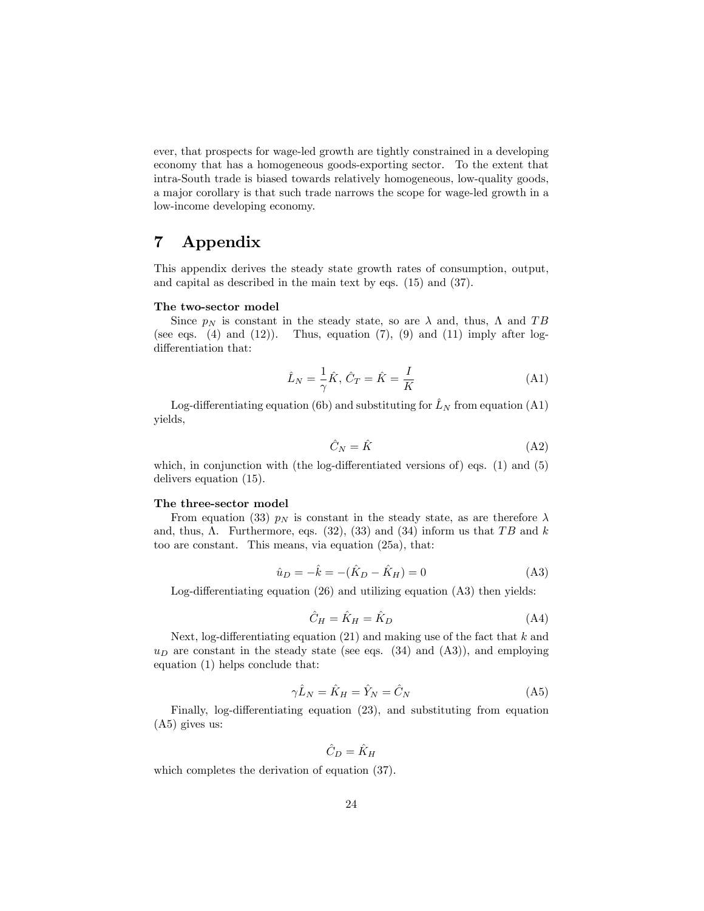ever, that prospects for wage-led growth are tightly constrained in a developing economy that has a homogeneous goods-exporting sector. To the extent that intra-South trade is biased towards relatively homogeneous, low-quality goods, a major corollary is that such trade narrows the scope for wage-led growth in a low-income developing economy.

# 7 Appendix

This appendix derives the steady state growth rates of consumption, output, and capital as described in the main text by eqs. (15) and (37).

#### The two-sector model

Since  $p_N$  is constant in the steady state, so are  $\lambda$  and, thus,  $\Lambda$  and TB (see eqs.  $(4)$  and  $(12)$ ). Thus, equation  $(7)$ ,  $(9)$  and  $(11)$  imply after logdifferentiation that:

$$
\hat{L}_N = \frac{1}{\gamma} \hat{K}, \ \hat{C}_T = \hat{K} = \frac{I}{K} \tag{A1}
$$

Log-differentiating equation (6b) and substituting for  $\hat{L}_N$  from equation (A1) yields,

$$
\hat{C}_N = \hat{K} \tag{A2}
$$

which, in conjunction with (the log-differentiated versions of) eqs.  $(1)$  and  $(5)$ delivers equation (15).

#### The three-sector model

From equation (33)  $p<sub>N</sub>$  is constant in the steady state, as are therefore  $\lambda$ and, thus,  $\Lambda$ . Furthermore, eqs. (32), (33) and (34) inform us that TB and k too are constant. This means, via equation (25a), that:

$$
\hat{u}_D = -\hat{k} = -(\hat{K}_D - \hat{K}_H) = 0
$$
\n(A3)

Log-differentiating equation  $(26)$  and utilizing equation  $(A3)$  then yields:

$$
\hat{C}_H = \hat{K}_H = \hat{K}_D \tag{A4}
$$

Next, log-differentiating equation  $(21)$  and making use of the fact that k and  $u_D$  are constant in the steady state (see eqs. (34) and (A3)), and employing equation (1) helps conclude that:

$$
\gamma \hat{L}_N = \hat{K}_H = \hat{Y}_N = \hat{C}_N \tag{A5}
$$

Finally, log-differentiating equation  $(23)$ , and substituting from equation (A5) gives us:

$$
\hat{C}_D=\hat{K}_H
$$

which completes the derivation of equation (37).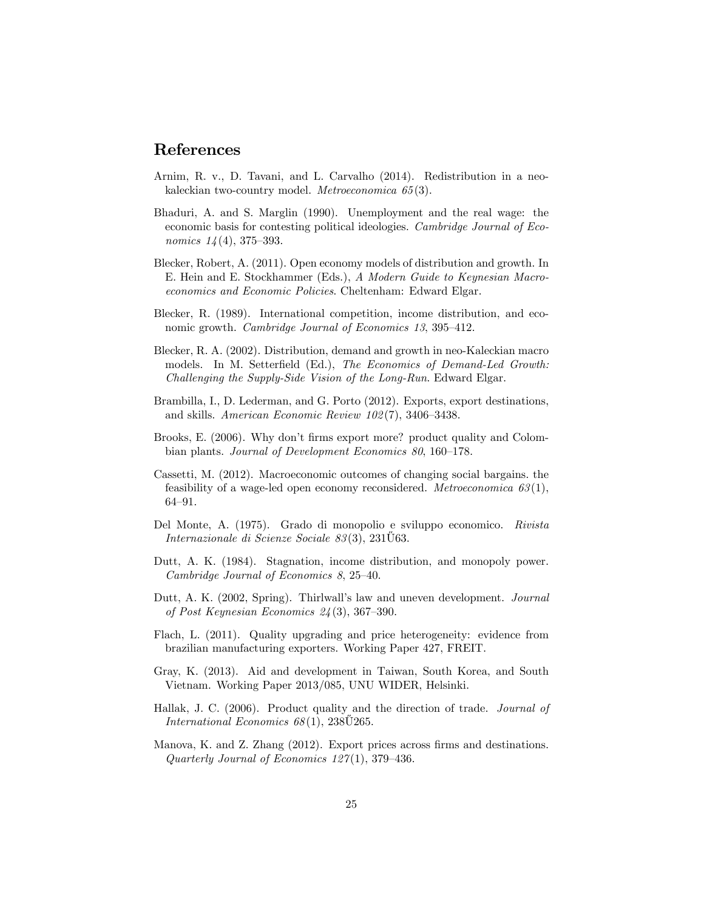# References

- Arnim, R. v., D. Tavani, and L. Carvalho (2014). Redistribution in a neokaleckian two-country model. *Metroeconomica* 65(3).
- Bhaduri, A. and S. Marglin (1990). Unemployment and the real wage: the economic basis for contesting political ideologies. Cambridge Journal of Economics  $14(4)$ , 375–393.
- Blecker, Robert, A. (2011). Open economy models of distribution and growth. In E. Hein and E. Stockhammer (Eds.), A Modern Guide to Keynesian Macroeconomics and Economic Policies. Cheltenham: Edward Elgar.
- Blecker, R. (1989). International competition, income distribution, and economic growth. Cambridge Journal of Economics 13, 395-412.
- Blecker, R. A. (2002). Distribution, demand and growth in neo-Kaleckian macro models. In M. Setterfield (Ed.), The Economics of Demand-Led Growth: Challenging the Supply-Side Vision of the Long-Run. Edward Elgar.
- Brambilla, I., D. Lederman, and G. Porto (2012). Exports, export destinations, and skills. American Economic Review  $102(7)$ , 3406–3438.
- Brooks, E. (2006). Why don't firms export more? product quality and Colombian plants. Journal of Development Economics 80, 160–178.
- Cassetti, M. (2012). Macroeconomic outcomes of changing social bargains. the feasibility of a wage-led open economy reconsidered. *Metroeconomica*  $63(1)$ ,  $64 - 91.$
- Del Monte, A. (1975). Grado di monopolio e sviluppo economico. Rivista Internazionale di Scienze Sociale 83(3), 231U63.
- Dutt, A. K. (1984). Stagnation, income distribution, and monopoly power. Cambridge Journal of Economics  $8, 25-40.$
- Dutt, A. K. (2002, Spring). Thirlwall's law and uneven development. *Journal* of Post Keynesian Economics  $24(3)$ , 367–390.
- Flach, L. (2011). Quality upgrading and price heterogeneity: evidence from brazilian manufacturing exporters. Working Paper 427, FREIT.
- Gray, K. (2013). Aid and development in Taiwan, South Korea, and South Vietnam. Working Paper 2013/085, UNU WIDER, Helsinki.
- Hallak, J. C. (2006). Product quality and the direction of trade. Journal of International Economics  $68(1)$ , 238U265.
- Manova, K. and Z. Zhang (2012). Export prices across firms and destinations. Quarterly Journal of Economics  $127(1)$ , 379-436.